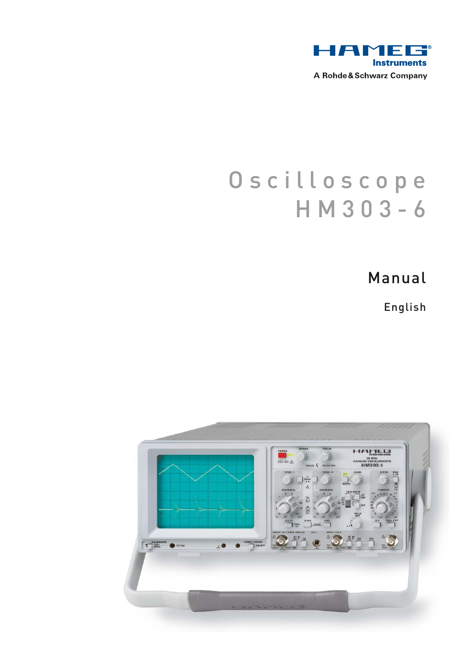

# Oscilloscope HM303-6

Manual

English

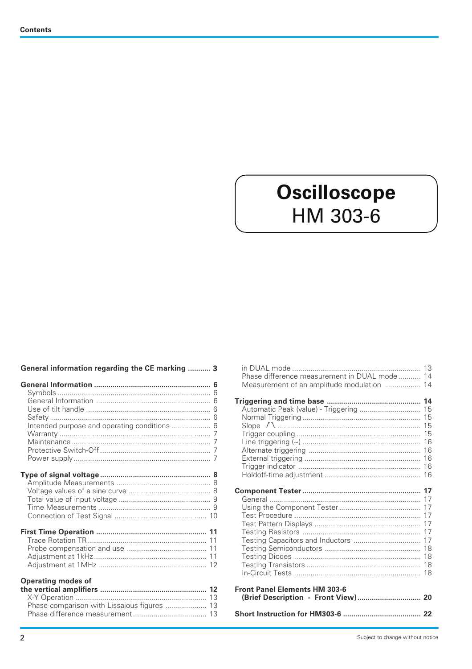# **Oscilloscope** HM 303-6

|  | General information regarding the CE marking  3 |  |
|--|-------------------------------------------------|--|
|  |                                                 |  |

| Intended purpose and operating conditions  6                             |  |
|--------------------------------------------------------------------------|--|
|                                                                          |  |
|                                                                          |  |
| <b>Operating modes of</b><br>Phase comparison with Lissajous figures  13 |  |

|                                      | Phase difference measurement in DUAL mode 14 |  |
|--------------------------------------|----------------------------------------------|--|
|                                      | Measurement of an amplitude modulation  14   |  |
|                                      |                                              |  |
|                                      |                                              |  |
|                                      | Automatic Peak (value) - Triggering  15      |  |
|                                      |                                              |  |
|                                      |                                              |  |
|                                      |                                              |  |
|                                      |                                              |  |
|                                      |                                              |  |
|                                      |                                              |  |
|                                      |                                              |  |
|                                      |                                              |  |
|                                      |                                              |  |
|                                      |                                              |  |
|                                      |                                              |  |
|                                      |                                              |  |
|                                      |                                              |  |
|                                      |                                              |  |
|                                      |                                              |  |
|                                      |                                              |  |
|                                      |                                              |  |
|                                      |                                              |  |
|                                      |                                              |  |
|                                      |                                              |  |
| <b>Front Panel Elements HM 303-6</b> |                                              |  |
|                                      | (Brief Description - Front View) 20          |  |
|                                      |                                              |  |
|                                      |                                              |  |
|                                      |                                              |  |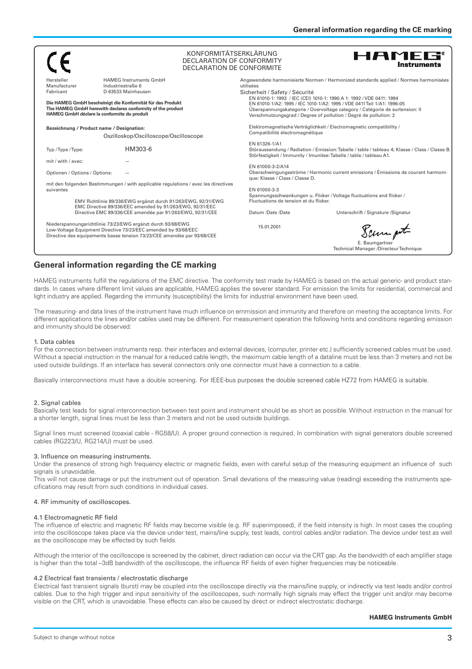|                                                                                                                                                                                                          |                                                                                                                                                                                          | KONFORMITÄTSERKLÄRUNG<br><b>HAMEG®</b><br>DECLARATION OF CONFORMITY<br><b>Instruments</b><br>DECLARATION DE CONFORMITE                                                                                                                                                                             |  |
|----------------------------------------------------------------------------------------------------------------------------------------------------------------------------------------------------------|------------------------------------------------------------------------------------------------------------------------------------------------------------------------------------------|----------------------------------------------------------------------------------------------------------------------------------------------------------------------------------------------------------------------------------------------------------------------------------------------------|--|
| Hersteller<br>Manufacturer<br>Fabricant                                                                                                                                                                  | <b>HAMEG Instruments GmbH</b><br>Industriestraße 6<br>D-63533 Mainhausen                                                                                                                 | Angewendete harmonisierte Normen / Harmonized standards applied / Normes harmonisées<br>utilisées<br>Sicherheit / Safety / Sécurité                                                                                                                                                                |  |
| Die HAMEG GmbH bescheinigt die Konformität für das Produkt<br>The HAMEG GmbH herewith declares conformity of the product<br>HAMEG GmbH déclare la conformite du produit                                  |                                                                                                                                                                                          | EN 61010-1: 1993 / IEC (CEI) 1010-1: 1990 A 1: 1992 / VDE 0411: 1994<br>EN 61010-1/A2: 1995 / IEC 1010-1/A2: 1995 / VDE 0411 Teil 1/A1: 1996-05<br>Überspannungskategorie / Overvoltage category / Catégorie de surtension: II<br>Verschmutzungsgrad / Degree of pollution / Degré de pollution: 2 |  |
| Bezeichnung / Product name / Designation:<br>Oszilloskop/Oscilloscope/Oscilloscope                                                                                                                       |                                                                                                                                                                                          | Elektromagnetische Verträglichkeit / Electromagnetic compatibility /<br>Compatibilité électromagnétique                                                                                                                                                                                            |  |
| Typ / Type / Type:                                                                                                                                                                                       | HM303-6                                                                                                                                                                                  | EN 61326-1/A1<br>Störaussendung / Radiation / Emission: Tabelle / table / tableau 4; Klasse / Class / Classe B.<br>Störfestigkeit / Immunity / Imunitee: Tabelle / table / tableau A1.                                                                                                             |  |
| mit / with / avec:<br>Optionen / Options / Options:                                                                                                                                                      |                                                                                                                                                                                          | EN 61000-3-2/A14<br>Oberschwingungsströme / Harmonic current emissions / Émissions de courant harmoni-<br>que: Klasse / Class / Classe D.                                                                                                                                                          |  |
| mit den folgenden Bestimmungen / with applicable regulations / avec les directives<br>suivantes                                                                                                          |                                                                                                                                                                                          | EN 61000-3-3<br>Spannungsschwankungen u. Flicker / Voltage fluctuations and flicker /                                                                                                                                                                                                              |  |
|                                                                                                                                                                                                          | EMV Richtlinie 89/336/EWG ergänzt durch 91/263/EWG, 92/31/EWG<br>EMC Directive 89/336/EEC amended by 91/263/EWG, 92/31/EEC<br>Directive EMC 89/336/CEE amendée par 91/263/EWG, 92/31/CEE | Fluctuations de tension et du flicker.<br>Datum /Date /Date<br>Unterschrift / Signature / Signatur                                                                                                                                                                                                 |  |
| Niederspannungsrichtlinie 73/23/EWG ergänzt durch 93/68/EWG<br>Low-Voltage Equipment Directive 73/23/EEC amended by 93/68/EEC<br>Directive des equipements basse tension 73/23/CEE amendée par 93/68/CEE |                                                                                                                                                                                          | 15.01.2001<br>Sampt                                                                                                                                                                                                                                                                                |  |
|                                                                                                                                                                                                          |                                                                                                                                                                                          | E. Baumgartner<br>Technical Manager /Directeur Technique                                                                                                                                                                                                                                           |  |

#### **General information regarding the CE marking**

HAMEG instruments fulfill the regulations of the EMC directive. The conformity test made by HAMEG is based on the actual generic- and product standards. In cases where different limit values are applicable, HAMEG applies the severer standard. For emission the limits for residential, commercial and light industry are applied. Regarding the immunity (susceptibility) the limits for industrial environment have been used.

The measuring- and data lines of the instrument have much influence on emmission and immunity and therefore on meeting the acceptance limits. For different applications the lines and/or cables used may be different. For measurement operation the following hints and conditions regarding emission and immunity should be observed:

#### 1. Data cables

For the connection between instruments resp. their interfaces and external devices, (computer, printer etc.) sufficiently screened cables must be used. Without a special instruction in the manual for a reduced cable length, the maximum cable length of a dataline must be less than 3 meters and not be used outside buildings. If an interface has several connectors only one connector must have a connection to a cable.

Basically interconnections must have a double screening. For IEEE-bus purposes the double screened cable HZ72 from HAMEG is suitable.

#### 2. Signal cables

Basically test leads for signal interconnection between test point and instrument should be as short as possible. Without instruction in the manual for a shorter length, signal lines must be less than 3 meters and not be used outside buildings.

Signal lines must screened (coaxial cable - RG58/U). A proper ground connection is required. In combination with signal generators double screened cables (RG223/U, RG214/U) must be used.

#### 3. Influence on measuring instruments.

Under the presence of strong high frequency electric or magnetic fields, even with careful setup of the measuring equipment an influence of such signals is unavoidable.

This will not cause damage or put the instrument out of operation. Small deviations of the measuring value (reading) exceeding the instruments specifications may result from such conditions in individual cases.

#### 4. RF immunity of oscilloscopes.

#### 4.1 Electromagnetic RF field

The influence of electric and magnetic RF fields may become visible (e.g. RF superimposed), if the field intensity is high. In most cases the coupling into the oscilloscope takes place via the device under test, mains/line supply, test leads, control cables and/or radiation. The device under test as well as the oscilloscope may be effected by such fields.

Although the interior of the oscilloscope is screened by the cabinet, direct radiation can occur via the CRT gap. As the bandwidth of each amplifier stage is higher than the total –3dB bandwidth of the oscilloscope, the influence RF fields of even higher frequencies may be noticeable.

#### 4.2 Electrical fast transients / electrostatic discharge

Electrical fast transient signals (burst) may be coupled into the oscilloscope directly via the mains/line supply, or indirectly via test leads and/or control cables. Due to the high trigger and input sensitivity of the oscilloscopes, such normally high signals may effect the trigger unit and/or may become visible on the CRT, which is unavoidable. These effects can also be caused by direct or indirect electrostatic discharge.

#### **HAMEG Instruments GmbH**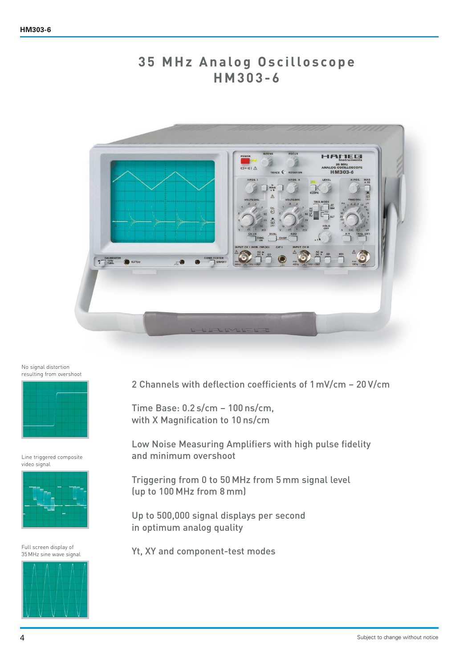## **35 MHz Analog Oscilloscope HM303-6**



No signal distortion resulting from overshoot



Line triggered composite video signal



Full screen display of 35 MHz sine wave signal



2 Channels with deflection coefficients of 1mV/cm – 20 V/cm

Time Base: 0.2 s/cm – 100 ns/cm, with X Magnification to 10 ns/cm

Low Noise Measuring Amplifiers with high pulse fidelity and minimum overshoot

Triggering from 0 to 50 MHz from 5 mm signal level (up to 100 MHz from 8 mm)

Up to 500,000 signal displays per second in optimum analog quality

Yt, XY and component-test modes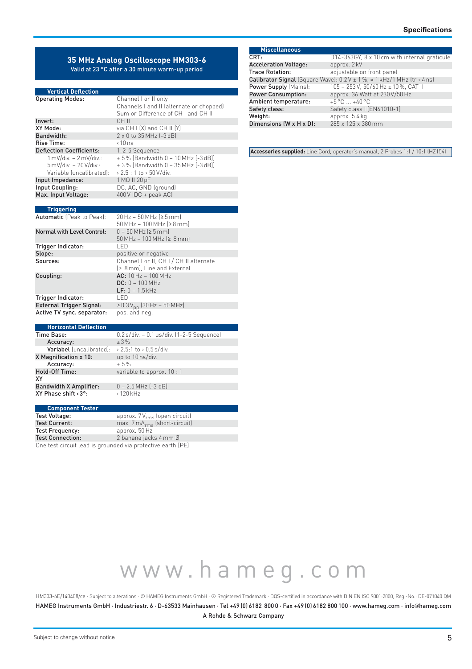#### **35 MHz Analog Oscilloscope HM303-6** Valid at 23 °C after a 30 minute warm-up period

#### **Vertical Deflection**

| <b>Operating Modes:</b>                 | Channel I or II only                     |
|-----------------------------------------|------------------------------------------|
|                                         | Channels I and II (alternate or chopped) |
|                                         | Sum or Difference of CH Land CH II       |
| Invert:                                 | CH II                                    |
| XY Mode:                                | via $CH$ $I$ $[X]$ and $CH$ $II$ $[Y]$   |
| Bandwidth:                              | 2 x 0 to 35 MHz (-3 dB)                  |
| Rise Time:                              | $\cdot$ 10 ns                            |
| <b>Deflection Coefficients:</b>         | 1-2-5 Sequence                           |
| $1 \text{ mV/div.} - 2 \text{ mV/div.}$ | ± 5% (Bandwidth 0 - 10 MHz (-3 dB))      |
| $5$ mV/div. $-20$ V/div.:               | $\pm$ 3% (Bandwidth 0 - 35 MHz (-3 dB))  |
| Variable (uncalibrated):                | > 2.5 : 1 to > 50 V/div.                 |
| Input Impedance:                        | 1 MΩ II 20 pF                            |
| Input Coupling:                         | DC, AC, GND (ground)                     |
| Max. Input Voltage:                     | 400 V (DC + peak AC)                     |
|                                         |                                          |
| <b>Triggering</b>                       |                                          |
| Automatic (Peak to Peak):               | $20$ Hz - 50 MHz ( $\geq$ 5 mm)          |
|                                         | $50$ MHz - 100 MHz ( $\geq 8$ mm)        |
| <b>Normal with Level Control:</b>       | $0 - 50$ MHz ( $\ge 5$ mm)               |
|                                         | $50$ MHz - 100 MHz ( $\geq 8$ mm)        |

|                                 | $0011112$ 100 PH IZ $\left[\frac{1}{2}\right]$ 0 HH II                 |
|---------------------------------|------------------------------------------------------------------------|
| Trigger Indicator:              | I FD                                                                   |
| Slope:                          | positive or negative                                                   |
| Sources:                        | Channel I or II, CH I / CH II alternate<br>[≥ 8 mm], Line and External |
| Coupling:                       | $AC: 10 Hz - 100 MHz$<br>$DC: 0 - 100 MHz$<br>$LF: 0 - 1.5$ kHz        |
| Trigger Indicator:              | I FD                                                                   |
| <b>External Trigger Signal:</b> | ≥ 0.3 V <sub>pp</sub> (30 Hz – 50 MHz)                                 |
| Active TV sync. separator:      | pos. and neg.                                                          |

| <b>Horizontal Deflection</b>       |                                               |
|------------------------------------|-----------------------------------------------|
| Time Base:                         | $0.2$ s/div. - 0.1 µs/div. $(1-2-5)$ Sequence |
| Accuracy:                          | $+3%$                                         |
| Variabel (uncalibrated):           | > 2.5:1 to > 0.5 s/div.                       |
| X Magnification x 10:              | up to 10 ns/div.                              |
| Accuracy:                          | $+5%$                                         |
| <b>Hold-Off Time:</b>              | variable to approx. 10 : 1                    |
| XY                                 |                                               |
| <b>Bandwidth X Amplifier:</b>      | $0 - 2.5$ MHz $(-3$ dB)                       |
| XY Phase shift $\langle 3^\circ$ : | $\langle$ 120 kHz                             |
|                                    |                                               |

#### **Component Tester**

| Test Voltage:                                               | approx. $7V_{rms}$ (open circuit) |  |
|-------------------------------------------------------------|-----------------------------------|--|
| Test Current:                                               | $max. 7 mArms$ (short-circuit)    |  |
| Test Frequency:                                             | approx. 50 Hz                     |  |
| <b>Test Connection:</b>                                     | 2 banana jacks 4 mm Ø             |  |
| One test circuit lead is grounded via protective earth (PE) |                                   |  |

| <b>Miscellaneous</b>         |                                                                                            |
|------------------------------|--------------------------------------------------------------------------------------------|
| CRT:                         | D14-363GY, 8 x 10 cm with internal graticule                                               |
| <b>Acceleration Voltage:</b> | approx. 2 kV                                                                               |
| <b>Trace Rotation:</b>       | adjustable on front panel                                                                  |
|                              | <b>Calibrator Signal</b> (Square Wave): $0.2V \pm 1\%$ , $\approx 1$ kHz/1 MHz (tr < 4 ns) |
| Power Supply (Mains):        | 105 - 253 V, 50/60 Hz ± 10 %, CAT II                                                       |
| <b>Power Consumption:</b>    | approx. 36 Watt at 230 V/50 Hz                                                             |
| Ambient temperature:         | $+5^{\circ}$ C $+40^{\circ}$ C                                                             |
| Safety class:                | Safety class I (EN61010-1)                                                                 |
| Weight:                      | approx. 5.4 kg                                                                             |
| Dimensions (W x H x D):      | 285 x 125 x 380 mm                                                                         |

**Accessories supplied:** Line Cord, operator's manual, 2 Probes 1:1 / 10:1 (HZ154)

HM303-6E/140408/ce · Subject to alterations · © HAMEG Instruments GmbH · ® Registered Trademark · DQS-certified in accordance with DIN EN ISO 9001:2000, Reg.-No.: DE-071040 QM www.hameg.com HAMEG Instruments GmbH · Industriestr. 6 · D-63533 Mainhausen · Tel +49 (0) 6182 800 0 · Fax +49 (0) 6182 800 100 · www.hameg.com · info@hameg.com A Rohde & Schwarz Company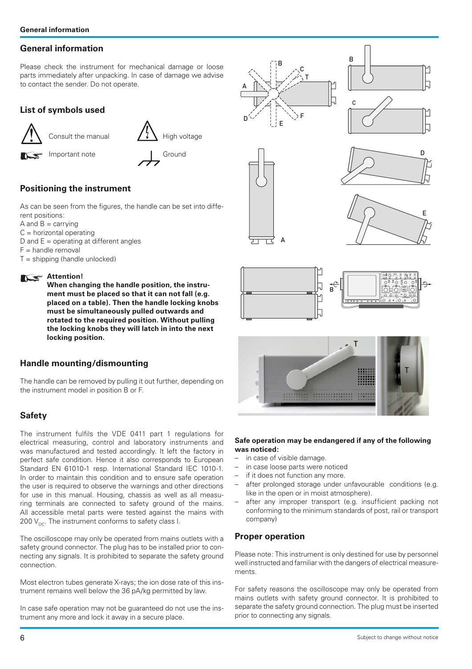## **General information**

Please check the instrument for mechanical damage or loose parts immediately after unpacking. In case of damage we advise to contact the sender. Do not operate.

## **List of symbols used**



Consult the manual  $\left\{ \frac{1}{4}\right\}$  High voltage

Important note **Ground** 

## **Positioning the instrument**

As can be seen from the figures, the handle can be set into different positions:

- $A$  and  $B =$  carrying
- $C =$  horizontal operating
- D and  $E =$  operating at different angles
- $F =$  handle removal
- $T =$ shipping (handle unlocked)

## **Attention!**

 **When changing the handle position, the instrument must be placed so that it can not fall (e.g. placed on a table). Then the handle locking knobs must be simultaneously pulled outwards and rotated to the required position. Without pulling the locking knobs they will latch in into the next locking position.** 

## **Handle mounting/dismounting**

The handle can be removed by pulling it out further, depending on the instrument model in position B or F.

## **Safety**

The instrument fulfils the VDE 0411 part 1 regulations for electrical measuring, control and laboratory instruments and was manufactured and tested accordingly. It left the factory in perfect safe condition. Hence it also corresponds to European Standard EN 61010-1 resp. International Standard IEC 1010-1. In order to maintain this condition and to ensure safe operation the user is required to observe the warnings and other directions for use in this manual. Housing, chassis as well as all measuring terminals are connected to safety ground of the mains. All accessible metal parts were tested against the mains with 200  $V_{\text{nc}}$ . The instrument conforms to safety class I.

The oscilloscope may only be operated from mains outlets with a safety ground connector. The plug has to be installed prior to connecting any signals. It is prohibited to separate the safety ground connection.

Most electron tubes generate X-rays; the ion dose rate of this instrument remains well below the 36 pA/kg permitted by law.

In case safe operation may not be guaranteed do not use the instrument any more and lock it away in a secure place.



#### **Safe operation may be endangered if any of the following was noticed:**

- in case of visible damage.
- in case loose parts were noticed
- if it does not function any more.
- after prolonged storage under unfavourable conditions (e.g. like in the open or in moist atmosphere).
- after any improper transport (e.g. insufficient packing not conforming to the minimum standards of post, rail or transport company)

## **Proper operation**

Please note: This instrument is only destined for use by personnel well instructed and familiar with the dangers of electrical measurements.

For safety reasons the oscilloscope may only be operated from mains outlets with safety ground connector. It is prohibited to separate the safety ground connection. The plug must be inserted prior to connecting any signals.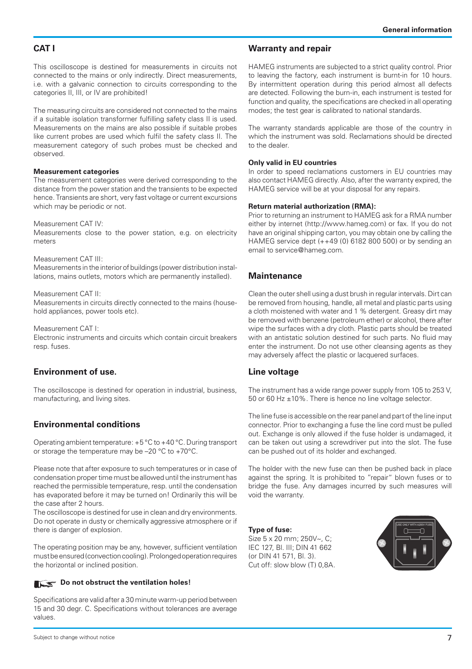#### **CAT I**

This oscilloscope is destined for measurements in circuits not connected to the mains or only indirectly. Direct measurements, i.e. with a galvanic connection to circuits corresponding to the categories II, III, or IV are prohibited!

The measuring circuits are considered not connected to the mains if a suitable isolation transformer fulfilling safety class II is used. Measurements on the mains are also possible if suitable probes like current probes are used which fulfil the safety class II. The measurement category of such probes must be checked and observed.

#### **Measurement categories**

The measurement categories were derived corresponding to the distance from the power station and the transients to be expected hence. Transients are short, very fast voltage or current excursions which may be periodic or not.

#### Measurement CAT IV:

Measurements close to the power station, e.g. on electricity meters

#### Measurement CAT III:

Measurements in the interior of buildings (power distribution installations, mains outlets, motors which are permanently installed).

#### Measurement CAT II:

Measurements in circuits directly connected to the mains (household appliances, power tools etc).

Measurement CAT I:

Electronic instruments and circuits which contain circuit breakers resp. fuses.

#### **Environment of use.**

The oscilloscope is destined for operation in industrial, business, manufacturing, and living sites.

## **Environmental conditions**

Operating ambient temperature: +5 °C to +40 °C. During transport or storage the temperature may be –20 °C to +70°C.

Please note that after exposure to such temperatures or in case of condensation proper time must be allowed until the instrument has reached the permissible temperature, resp. until the condensation has evaporated before it may be turned on! Ordinarily this will be the case after 2 hours.

The oscilloscope is destined for use in clean and dry environments. Do not operate in dusty or chemically aggressive atmosphere or if there is danger of explosion.

The operating position may be any, however, sufficient ventilation must be ensured (convection cooling). Prolonged operation requires the horizontal or inclined position.

## **Do not obstruct the ventilation holes!**

values. Specifications are valid after a 30 minute warm-up period between 15 and 30 degr. C. Specifications without tolerances are average

#### **Warranty and repair**

HAMEG instruments are subjected to a strict quality control. Prior to leaving the factory, each instrument is burnt-in for 10 hours. By intermittent operation during this period almost all defects are detected. Following the burn-in, each instrument is tested for function and quality, the specifications are checked in all operating modes; the test gear is calibrated to national standards.

The warranty standards applicable are those of the country in which the instrument was sold. Reclamations should be directed to the dealer.

#### **Only valid in EU countries**

In order to speed reclamations customers in EU countries may also contact HAMEG directly. Also, after the warranty expired, the HAMEG service will be at your disposal for any repairs.

#### **Return material authorization (RMA):**

Prior to returning an instrument to HAMEG ask for a RMA number either by internet (http://www.hameg.com) or fax. If you do not have an original shipping carton, you may obtain one by calling the HAMEG service dept (++49 (0) 6182 800 500) or by sending an email to service@hameg.com.

## **Maintenance**

Clean the outer shell using a dust brush in regular intervals. Dirt can be removed from housing, handle, all metal and plastic parts using a cloth moistened with water and 1 % detergent. Greasy dirt may be removed with benzene (petroleum ether) or alcohol, there after wipe the surfaces with a dry cloth. Plastic parts should be treated with an antistatic solution destined for such parts. No fluid may enter the instrument. Do not use other cleansing agents as they may adversely affect the plastic or lacquered surfaces.

## **Line voltage**

The instrument has a wide range power supply from 105 to 253 V, 50 or 60 Hz ±10%. There is hence no line voltage selector.

The line fuse is accessible on the rear panel and part of the line input connector. Prior to exchanging a fuse the line cord must be pulled out. Exchange is only allowed if the fuse holder is undamaged, it can be taken out using a screwdriver put into the slot. The fuse can be pushed out of its holder and exchanged.

The holder with the new fuse can then be pushed back in place against the spring. It is prohibited to "repair" blown fuses or to bridge the fuse. Any damages incurred by such measures will void the warranty.

**Type of fuse:**  Size 5 x 20 mm; 250V~, C; IEC 127, Bl. III; DIN 41 662 (or DIN 41 571, Bl. 3). Cut off: slow blow (T) 0,8A.

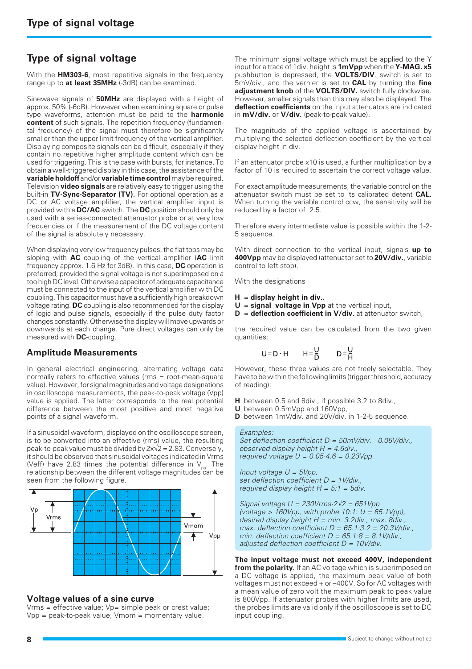## **Type of signal voltage**

With the **HM303-6**, most repetitive signals in the frequency range up to **at least 35MHz** (-3dB) can be examined.

Sinewave signals of **50MHz** are displayed with a height of approx. 50% (-6dB). However when examining square or pulse type waveforms, attention must be paid to the **harmonic content** of such signals. The repetition frequency (fundamental frequency) of the signal must therefore be significantly smaller than the upper limit frequency of the vertical amplifier. Displaying composite signals can be difficult, especially if they contain no repetitive higher amplitude content which can be used for triggering. This is the case with bursts, for instance. To obtain a well-triggered display in this case, the assistance of the **variable holdoff** and/or **variable time control** may be required. Television **video signals** are relatively easy to trigger using the built-in **TV-Sync-Separator (TV).** For optional operation as a DC or AC voltage amplifier, the vertical amplifier input is provided with a **DC/AC** switch. The **DC** position should only be used with a series-connected attenuator probe or at very low frequencies or if the measurement of the DC voltage content of the signal is absolutely necessary.

When displaying very low frequency pulses, the flat tops may be sloping with **AC** coupling of the vertical amplifier (**AC** limit frequency approx. 1.6 Hz for 3dB). In this case, **DC** operation is preferred, provided the signal voltage is not superimposed on a too high DC level. Otherwise a capacitor of adequate capacitance must be connected to the input of the vertical amplifier with DC coupling. This capacitor must have a sufficiently high breakdown voltage rating. **DC** coupling is also recommended for the display of logic and pulse signals, especially if the pulse duty factor changes constantly. Otherwise the display will move upwards or downwards at each change. Pure direct voltages can only be measured with **DC**-coupling.

#### **Amplitude Measurements**

In general electrical engineering, alternating voltage data normally refers to effective values (rms = root-mean-square value). However, for signal magnitudes and voltage designations in oscilloscope measurements, the peak-to-peak voltage (Vpp) value is applied. The latter corresponds to the real potential difference between the most positive and most negative points of a signal waveform.

If a sinusoidal waveform, displayed on the oscilloscope screen, is to be converted into an effective (rms) value, the resulting peak-to-peak value must be divided by  $2x\sqrt{2} = 2.83$ . Conversely, it should be observed that sinusoidal voltages indicated in Vrms (Veff) have 2.83 times the potential difference in  $V_{\text{pp}}$ . The relationship between the different voltage magnitudes can be seen from the following figure.



#### **Voltage values of a sine curve**

 $V$ rms = effective value;  $Vp=$  simple peak or crest value; Vpp = peak-to-peak value; Vmom = momentary value.

The minimum signal voltage which must be applied to the Y input for a trace of 1div. height is **1mVpp** when the **Y-MAG. x5** pushbutton is depressed, the **VOLTS/DIV**. switch is set to 5mV/div., and the vernier is set to **CAL** by turning the **fine adjustment knob** of the **VOLTS/DIV.** switch fully clockwise. However, smaller signals than this may also be displayed. The **deflection coefficients** on the input attenuators are indicated in **mV/div.** or **V/div.** (peak-to-peak value).

The magnitude of the applied voltage is ascertained by multiplying the selected deflection coefficient by the vertical display height in div.

If an attenuator probe x10 is used, a further multiplication by a factor of 10 is required to ascertain the correct voltage value.

For exact amplitude measurements, the variable control on the attenuator switch must be set to its calibrated detent **CAL.** When turning the variable control ccw, the sensitivity will be reduced by a factor of 2.5.

Therefore every intermediate value is possible within the 1-2- 5 sequence.

With direct connection to the vertical input, signals **up to 400Vpp** may be displayed (attenuator set to **20V/div.**, variable control to left stop).

With the designations

- **H** = **display height in div.**,
- **U** = **signal voltage in Vpp** at the vertical input,
- **D** = **deflection coefficient in V/div.** at attenuator switch,

the required value can be calculated from the two given quantities:

$$
U = D \cdot H \qquad H = \frac{U}{D} \qquad D = \frac{U}{H}
$$

However, these three values are not freely selectable. They have to be within the following limits (trigger threshold, accuracy of reading):

- **H** between 0.5 and 8div., if possible 3.2 to 8div.,
- **U** between 0.5mVpp and 160Vpp,
- **D** between 1mV/div. and 20V/div. in 1-2-5 sequence.

#### Examples:

Set deflection coefficient  $D = 50$ mV/div. 0.05V/div., observed display height  $H = 4.6$ div. required voltage  $U = 0.05 \cdot 4.6 = 0.23 \text{Vpp}$ .

Input voltage  $U = 5Vpp$ , set deflection coefficient  $D = 1$ V/div. required display height  $H = 5:1 = 5$ div.

Signal voltage  $U = 230$ Vrms $\cdot 2\sqrt{2} = 651$ Vpp (voltage > 160Vpp, with probe 10:1:  $U = 65.1$ Vpp), desired display height  $H = min.$  3.2div., max. 8div. max. deflection coefficient  $D = 65.1:3.2 = 20.3$ V/div. min. deflection coefficient  $D = 65.1.8 = 8.1$ V/div., adjusted deflection coefficient  $D = 10V/div$ .

**The input voltage must not exceed 400V, independent from the polarity.** If an AC voltage which is superimposed on a DC voltage is applied, the maximum peak value of both voltages must not exceed + or –400V. So for AC voltages with a mean value of zero volt the maximum peak to peak value is 800Vpp. If attenuator probes with higher limits are used, the probes limits are valid only if the oscilloscope is set to DC input coupling.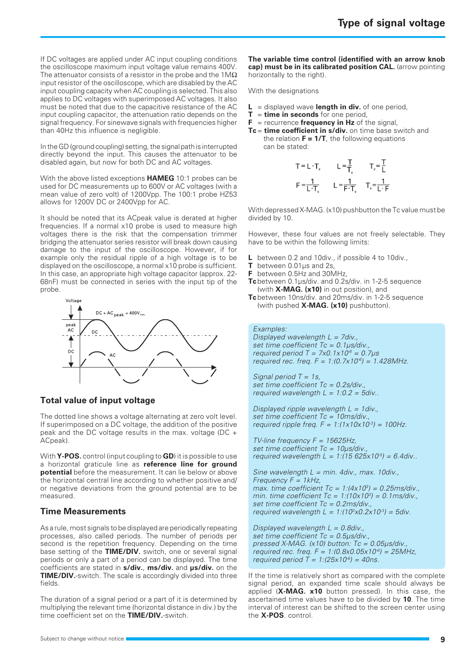If DC voltages are applied under AC input coupling conditions the oscilloscope maximum input voltage value remains 400V. The attenuator consists of a resistor in the probe and the  $1\text{M}\Omega$ input resistor of the oscilloscope, which are disabled by the AC input coupling capacity when AC coupling is selected. This also applies to DC voltages with superimposed AC voltages. It also must be noted that due to the capacitive resistance of the AC input coupling capacitor, the attenuation ratio depends on the signal frequency. For sinewave signals with frequencies higher than 40Hz this influence is negligible.

In the GD (ground coupling) setting, the signal path is interrupted directly beyond the input. This causes the attenuator to be disabled again, but now for both DC and AC voltages.

With the above listed exceptions **HAMEG** 10:1 probes can be used for DC measurements up to 600V or AC voltages (with a mean value of zero volt) of 1200Vpp. The 100:1 probe HZ53 allows for 1200V DC or 2400Vpp for AC.

It should be noted that its ACpeak value is derated at higher frequencies. If a normal x10 probe is used to measure high voltages there is the risk that the compensation trimmer bridging the attenuator series resistor will break down causing damage to the input of the oscilloscope. However, if for example only the residual ripple of a high voltage is to be displayed on the oscilloscope, a normal x10 probe is sufficient. In this case, an appropriate high voltage capacitor (approx. 22- 68nF) must be connected in series with the input tip of the probe.



## **Total value of input voltage**

The dotted line shows a voltage alternating at zero volt level. If superimposed on a DC voltage, the addition of the positive peak and the DC voltage results in the max. voltage (DC + ACpeak).

With **Y-POS.** control (input coupling to **GD**) it is possible to use a horizontal graticule line as **reference line for ground potential** before the measurement. It can lie below or above the horizontal central line according to whether positive and/ or negative deviations from the ground potential are to be measured.

## **Time Measurements**

As a rule, most signals to be displayed are periodically repeating processes, also called periods. The number of periods per second is the repetition frequency. Depending on the time base setting of the **TIME/DIV.** switch, one or several signal periods or only a part of a period can be displayed. The time coefficients are stated in **s/div.**, **ms/div.** and **µs/div.** on the **TIME/DIV.**-switch. The scale is accordingly divided into three fields.

The duration of a signal period or a part of it is determined by multiplying the relevant time (horizontal distance in div.) by the time coefficient set on the **TIME/DIV.**-switch.

**The variable time control (identified with an arrow knob cap) must be in its calibrated position CAL.** (arrow pointing horizontally to the right).

With the designations

- $L =$  displayed wave **length in div.** of one period,
- **T** = **time in seconds** for one period,
- **F** = recurrence **frequency in Hz** of the signal,
- **Tc** = **time coefficient in s/div.** on time base switch and the relation  $F = 1/T$ , the following equations can be stated:

$$
T = L \cdot T_c \qquad L = \frac{T}{T_c} \qquad T_c = \frac{T}{L}
$$

$$
F = \frac{1}{L \cdot T_c} \qquad L = \frac{1}{F \cdot T_c} \qquad T_c = \frac{1}{L \cdot F}
$$

With depressed X-MAG. (x10) pushbutton the Tc value must be divided by 10.

However, these four values are not freely selectable. They have to be within the following limits:

- **L** between 0.2 and 10div., if possible 4 to 10div.,
- **T** between 0.01µs and 2s,
- **F** between 0.5Hz and 30MHz,
- **Tc** between 0.1µs/div. and 0.2s/div. in 1-2-5 sequence (with **X-MAG. (x10)** in out position), and
- **Tc** between 10ns/div. and 20ms/div. in 1-2-5 sequence (with pushed **X-MAG. (x10)** pushbutton).

Examples:

Displayed wavelength  $L = 7$ div., set time coefficient  $Tc = 0.1 \mu s/div$ . required period  $T = 7 \times 0.1 \times 10^{-6} = 0.7 \mu s$ required rec. freq.  $F = 1:(0.7 \times 10^{-6}) = 1.428$ MHz.

Signal period  $T = 1s$ , set time coefficient Tc = 0.2s/div., required wavelength  $L = 1:0.2 = 5$ div..

Displayed ripple wavelength  $L = 1$ div. set time coefficient Tc = 10ms/div., required ripple freq.  $F = 1/(1 \times 10 \times 10^3) = 100$ Hz.

TV-line frequency  $F = 15625$ Hz, set time coefficient Tc = 10us/div., required wavelength  $L = 1/(15 625 \times 10^{-5}) = 6.4$ div..

Sine wavelength  $L = min$ . 4div., max. 10div., Frequency  $F = 1kHz$ , max. time coefficient  $Tc = 1/(4 \times 10^3) = 0.25 \text{ms/div}$ . min. time coefficient  $Tc = 1/(10x10^3) = 0.1 \text{ms/div}$ . set time coefficient Tc = 0.2ms/div., required wavelength  $L = 1:(10^3 \times 0.2 \times 10^3) = 5$ div.

Displayed wavelength  $L = 0.8$ div., set time coefficient Tc = 0.5µs/div., pressed X-MAG. (x10) button:  $T_c = 0.05 \mu s$ /div. required rec. freq.  $F = 1:(0.8 \times 0.05 \times 10^{6}) = 25$ MHz, required period  $\dot{T} = 1$ :(25x10<sup>6</sup>) = 40ns.

If the time is relatively short as compared with the complete signal period, an expanded time scale should always be applied (**X-MAG. x10** button pressed). In this case, the ascertained time values have to be divided by **10**. The time interval of interest can be shifted to the screen center using the **X-POS**. control.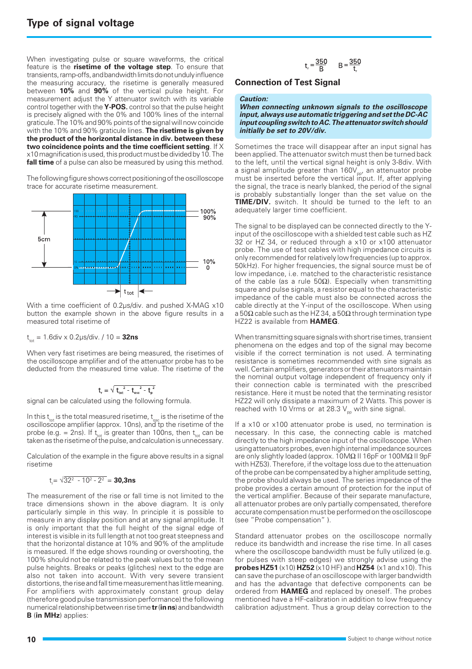When investigating pulse or square waveforms, the critical feature is the **risetime of the voltage step**. To ensure that transients, ramp-offs, and bandwidth limits do not unduly influence the measuring accuracy, the risetime is generally measured between **10%** and **90%** of the vertical pulse height. For measurement adjust the Y attenuator switch with its variable control together with the **Y-POS.** control so that the pulse height is precisely aligned with the 0% and 100% lines of the internal graticule. The 10% and 90% points of the signal will now coincide with the 10% and 90% graticule lines. **The risetime is given by the product of the horizontal distance in div. between these two coincidence points and the time coefficient setting**. If X x10 magnification is used, this product must be divided by 10. The **fall time** of a pulse can also be measured by using this method.

The following figure shows correct positioning of the oscilloscope trace for accurate risetime measurement.



With a time coefficient of 0.2µs/div. and pushed X-MAG x10 button the example shown in the above figure results in a measured total risetime of

 $t_{\text{tot}} = 1.6$ div x 0.2 $\mu$ s/div. / 10 = **32ns** 

When very fast risetimes are being measured, the risetimes of the oscilloscope amplifier and of the attenuator probe has to be deducted from the measured time value. The risetime of the

$$
t_{\textrm{\tiny{r}}}=\sqrt{{t_{\textrm{\tiny{tot}}}^{2}}-{t_{\textrm{\tiny{osc}}}^{2}}-{t_{\textrm{\tiny{p}}}^{2}}}
$$

signal can be calculated using the following formula.

In this  $t_{tot}$  is the total measured risetime,  $t_{osc}$  is the risetime of the oscilloscope amplifier (approx. 10ns), and tp the risetime of the probe (e.g. = 2ns). If  $t_{\text{tot}}$  is greater than 100ns, then  $t_{\text{tot}}$  can be taken as the risetime of the pulse, and calculation is unnecessary.

Calculation of the example in the figure above results in a signal risetime

$$
t_{r} = \sqrt{32^2 - 10^2 - 2^2} = 30,3ns
$$

The measurement of the rise or fall time is not limited to the trace dimensions shown in the above diagram. It is only particularly simple in this way. In principle it is possible to measure in any display position and at any signal amplitude. It is only important that the full height of the signal edge of interest is visible in its full length at not too great steepness and that the horizontal distance at 10% and 90% of the amplitude is measured. If the edge shows rounding or overshooting, the 100% should not be related to the peak values but to the mean pulse heights. Breaks or peaks (glitches) next to the edge are also not taken into account. With very severe transient distortions, the rise and fall time measurement has little meaning. For amplifiers with approximately constant group delay (therefore good pulse transmission performance) the following numerical relationship between rise time **tr** (**in ns**) and bandwidth **B** (**in MHz**) applies:

$$
t_r = \frac{350}{B}
$$
  $B = \frac{350}{t_r}$ 

#### **Connection of Test Signal**

#### **Caution:**

**When connecting unknown signals to the oscilloscope input, always use automatic triggering and set the DC-AC input coupling switch to AC. The attenuator switch should initially be set to 20V/div.**

Sometimes the trace will disappear after an input signal has been applied. The attenuator switch must then be turned back to the left, until the vertical signal height is only 3-8div. With a signal amplitude greater than  $160V_{\text{pp}}$ , an attenuator probe must be inserted before the vertical input. If, after applying the signal, the trace is nearly blanked, the period of the signal is probably substantially longer than the set value on the **TIME/DIV.** switch. It should be turned to the left to an adequately larger time coefficient.

The signal to be displayed can be connected directly to the Yinput of the oscilloscope with a shielded test cable such as HZ 32 or HZ 34, or reduced through a x10 or x100 attenuator probe. The use of test cables with high impedance circuits is only recommended for relatively low frequencies (up to approx. 50kHz). For higher frequencies, the signal source must be of low impedance, i.e. matched to the characteristic resistance of the cable (as a rule 50Ω). Especially when transmitting square and pulse signals, a resistor equal to the characteristic impedance of the cable must also be connected across the cable directly at the Y-input of the oscilloscope. When using a 50 $\Omega$  cable such as the HZ 34, a 50 $\Omega$  through termination type HZ22 is available from **HAMEG**.

When transmitting square signals with short rise times, transient phenomena on the edges and top of the signal may become visible if the correct termination is not used. A terminating resistance is sometimes recommended with sine signals as well. Certain amplifiers, generators or their attenuators maintain the nominal output voltage independent of frequency only if their connection cable is terminated with the prescribed resistance. Here it must be noted that the terminating resistor HZ22 will only dissipate a maximum of 2 Watts. This power is reached with 10 Vrms or at 28.3  $V_{\text{pp}}$  with sine signal.

If a x10 or x100 attenuator probe is used, no termination is necessary. In this case, the connecting cable is matched directly to the high impedance input of the oscilloscope. When using attenuators probes, even high internal impedance sources are only slightly loaded (approx. 10MΩ II 16pF or 100MΩ II 9pF with HZ53). Therefore, if the voltage loss due to the attenuation of the probe can be compensated by a higher amplitude setting, the probe should always be used. The series impedance of the probe provides a certain amount of protection for the input of the vertical amplifier. Because of their separate manufacture, all attenuator probes are only partially compensated, therefore accurate compensation must be performed on the oscilloscope (see "Probe compensation" ).

Standard attenuator probes on the oscilloscope normally reduce its bandwidth and increase the rise time. In all cases where the oscilloscope bandwidth must be fully utilized (e.g. for pulses with steep edges) we strongly advise using the **probes HZ51** (x10) **HZ52** (x10 HF) and **HZ54** (x1 and x10). This can save the purchase of an oscilloscope with larger bandwidth and has the advantage that defective components can be ordered from **HAMEG** and replaced by oneself. The probes mentioned have a HF-calibration in addition to low frequency calibration adjustment. Thus a group delay correction to the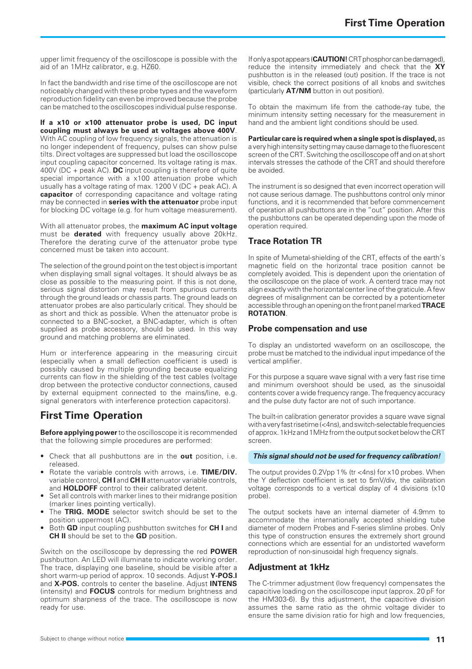upper limit frequency of the oscilloscope is possible with the aid of an 1MHz calibrator, e.g. HZ60.

In fact the bandwidth and rise time of the oscilloscope are not noticeably changed with these probe types and the waveform reproduction fidelity can even be improved because the probe can be matched to the oscilloscopes individual pulse response.

**If a x10 or x100 attenuator probe is used, DC input coupling must always be used at voltages above 400V**. With AC coupling of low frequency signals, the attenuation is no longer independent of frequency, pulses can show pulse tilts. Direct voltages are suppressed but load the oscilloscope input coupling capacitor concerned. Its voltage rating is max. 400V (DC + peak AC). **DC** input coupling is therefore of quite special importance with a x100 attenuation probe which usually has a voltage rating of max. 1200 V (DC + peak AC). A **capacitor** of corresponding capacitance and voltage rating may be connected in **series with the attenuator** probe input for blocking DC voltage (e.g. for hum voltage measurement).

With all attenuator probes, the **maximum AC input voltage** must be **derated** with frequency usually above 20kHz. Therefore the derating curve of the attenuator probe type concerned must be taken into account.

The selection of the ground point on the test object is important when displaying small signal voltages. It should always be as close as possible to the measuring point. If this is not done, serious signal distortion may result from spurious currents through the ground leads or chassis parts. The ground leads on attenuator probes are also particularly critical. They should be as short and thick as possible. When the attenuator probe is connected to a BNC-socket, a BNC-adapter, which is often supplied as probe accessory, should be used. In this way ground and matching problems are eliminated.

Hum or interference appearing in the measuring circuit (especially when a small deflection coefficient is used) is possibly caused by multiple grounding because equalizing currents can flow in the shielding of the test cables (voltage drop between the protective conductor connections, caused by external equipment connected to the mains/line, e.g. signal generators with interference protection capacitors).

## **First Time Operation**

**Before applying power** to the oscilloscope it is recommended that the following simple procedures are performed:

- Check that all pushbuttons are in the **out** position, i.e. released.
- Rotate the variable controls with arrows, i.e. **TIME/DIV.** variable control, **CH I** and **CH II** attenuator variable controls, and **HOLDOFF** control to their calibrated detent.
- Set all controls with marker lines to their midrange position (marker lines pointing vertically).
- The **TRIG. MODE** selector switch should be set to the position uppermost (AC).
- Both **GD** input coupling pushbutton switches for **CH I** and **CH II** should be set to the **GD** position.

Switch on the oscilloscope by depressing the red **POWER** pushbutton. An LED will illuminate to indicate working order. The trace, displaying one baseline, should be visible after a short warm-up period of approx. 10 seconds. Adjust **Y-POS.I** and **X-POS.** controls to center the baseline. Adjust **INTENS** (intensity) and **FOCUS** controls for medium brightness and optimum sharpness of the trace. The oscilloscope is now ready for use.

If only a spot appears (**CAUTION!** CRT phosphor can be damaged), reduce the intensity immediately and check that the **XY** pushbutton is in the released (out) position. If the trace is not visible, check the correct positions of all knobs and switches (particularly **AT/NM** button in out position).

To obtain the maximum life from the cathode-ray tube, the minimum intensity setting necessary for the measurement in hand and the ambient light conditions should be used.

**Particular care is required when a single spot is displayed,** as a very high intensity setting may cause damage to the fluorescent screen of the CRT. Switching the oscilloscope off and on at short intervals stresses the cathode of the CRT and should therefore be avoided.

The instrument is so designed that even incorrect operation will not cause serious damage. The pushbuttons control only minor functions, and it is recommended that before commencement of operation all pushbuttons are in the "out" position. After this the pushbuttons can be operated depending upon the mode of operation required.

## **Trace Rotation TR**

In spite of Mumetal-shielding of the CRT, effects of the earth's magnetic field on the horizontal trace position cannot be completely avoided. This is dependent upon the orientation of the oscilloscope on the place of work. A centerd trace may not align exactly with the horizontal center line of the graticule. A few degrees of misalignment can be corrected by a potentiometer accessible through an opening on the front panel marked **TRACE ROTATION**.

#### **Probe compensation and use**

To display an undistorted waveform on an oscilloscope, the probe must be matched to the individual input impedance of the vertical amplifier.

For this purpose a square wave signal with a very fast rise time and minimum overshoot should be used, as the sinusoidal contents cover a wide frequency range. The frequency accuracy and the pulse duty factor are not of such importance.

The built-in calibration generator provides a square wave signal with a very fast risetime (<4ns), and switch-selectable frequencies of approx. 1kHz and 1MHz from the output socket below the CRT screen.

#### **This signal should not be used for frequency calibration!**

The output provides 0.2Vpp 1% (tr <4ns) for x10 probes. When the Y deflection coefficient is set to 5mV/div, the calibration voltage corresponds to a vertical display of 4 divisions (x10 probe).

The output sockets have an internal diameter of 4.9mm to accommodate the internationally accepted shielding tube diameter of modern Probes and F-series slimline probes. Only this type of construction ensures the extremely short ground connections which are essential for an undistorted waveform reproduction of non-sinusoidal high frequency signals.

#### **Adjustment at 1kHz**

The C-trimmer adjustment (low frequency) compensates the capacitive loading on the oscilloscope input (approx. 20 pF for the HM303-6). By this adjustment, the capacitive division assumes the same ratio as the ohmic voltage divider to ensure the same division ratio for high and low frequencies.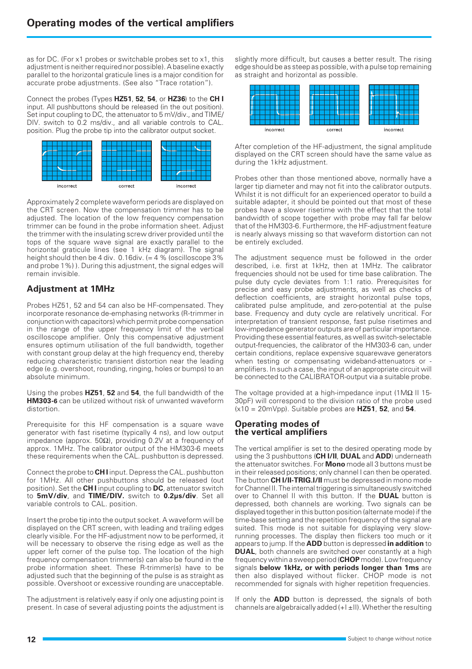as for DC. (For x1 probes or switchable probes set to x1, this adjustment is neither required nor possible). A baseline exactly parallel to the horizontal graticule lines is a major condition for accurate probe adjustments. (See also "Trace rotation").

Connect the probes (Types **HZ51**, **52**, **54**, or **HZ36**) to the **CH I** input. All pushbuttons should be released (in the out position). Set input coupling to DC, the attenuator to 5 mV/div., and TIME/ DIV. switch to 0.2 ms/div., and all variable controls to CAL. position. Plug the probe tip into the calibrator output socket.



Approximately 2 complete waveform periods are displayed on the CRT screen. Now the compensation trimmer has to be adjusted. The location of the low frequency compensation trimmer can be found in the probe information sheet. Adjust the trimmer with the insulating screw driver provided until the tops of the square wave signal are exactly parallel to the horizontal graticule lines (see 1 kHz diagram). The signal height should then be 4 div.  $0.16$ div. (= 4 % (oscilloscope 3%) and probe 1%) ). During this adjustment, the signal edges will remain invisible.

## **Adjustment at 1MHz**

Probes HZ51, 52 and 54 can also be HF-compensated. They incorporate resonance de-emphasing networks (R-trimmer in conjunction with capacitors) which permit probe compensation in the range of the upper frequency limit of the vertical oscilloscope amplifier. Only this compensative adjustment ensures optimum utilisation of the full bandwidth, together with constant group delay at the high frequency end, thereby reducing characteristic transient distortion near the leading edge (e.g. overshoot, rounding, ringing, holes or bumps) to an absolute minimum.

Using the probes **HZ51**, **52** and **54**, the full bandwidth of the **HM303-6** can be utilized without risk of unwanted waveform distortion.

Prerequisite for this HF compensation is a square wave generator with fast risetime (typically 4 ns), and low output impedance (approx. 50Ω), providing 0.2V at a frequency of approx. 1MHz. The calibrator output of the HM303-6 meets these requirements when the CAL. pushbutton is depressed.

Connect the probe to **CH I** input. Depress the CAL. pushbutton for 1MHz. All other pushbuttons should be released (out position). Set the **CH I** input coupling to **DC**, attenuator switch to **5mV/div**, and **TIME/DIV.** switch to **0.2µs/div**. Set all variable controls to CAL. position.

Insert the probe tip into the output socket. A waveform will be displayed on the CRT screen, with leading and trailing edges clearly visible. For the HF-adjustment now to be performed, it will be necessary to observe the rising edge as well as the upper left corner of the pulse top. The location of the high frequency compensation trimmer(s) can also be found in the probe information sheet. These R-trimmer(s) have to be adjusted such that the beginning of the pulse is as straight as possible. Overshoot or excessive rounding are unacceptable.

The adjustment is relatively easy if only one adjusting point is present. In case of several adjusting points the adjustment is

slightly more difficult, but causes a better result. The rising edge should be as steep as possible, with a pulse top remaining as straight and horizontal as possible.



After completion of the HF-adjustment, the signal amplitude displayed on the CRT screen should have the same value as during the 1kHz adjustment.

Probes other than those mentioned above, normally have a larger tip diameter and may not fit into the calibrator outputs. Whilst it is not difficult for an experienced operator to build a suitable adapter, it should be pointed out that most of these probes have a slower risetime with the effect that the total bandwidth of scope together with probe may fall far below that of the HM303-6. Furthermore, the HF-adjustment feature is nearly always missing so that waveform distortion can not be entirely excluded.

The adjustment sequence must be followed in the order described, i.e. first at 1kHz, then at 1MHz. The calibrator frequencies should not be used for time base calibration. The pulse duty cycle deviates from 1:1 ratio. Prerequisites for precise and easy probe adjustments, as well as checks of deflection coefficients, are straight horizontal pulse tops, calibrated pulse amplitude, and zero-potential at the pulse base. Frequency and duty cycle are relatively uncritical. For interpretation of transient response, fast pulse risetimes and low-impedance generator outputs are of particular importance. Providing these essential features, as well as switch-selectable output-frequencies, the calibrator of the HM303-6 can, under certain conditions, replace expensive squarewave generators when testing or compensating wideband-attenuators or amplifiers. In such a case, the input of an appropriate circuit will be connected to the CALIBRATOR-output via a suitable probe.

The voltage provided at a high-impedance input (1MΩ II 15- 30pF) will correspond to the division ratio of the probe used (x10 = 20mVpp). Suitable probes are **HZ51**, **52**, and **54**.

#### **Operating modes of the vertical amplifiers**

The vertical amplifier is set to the desired operating mode by using the 3 pushbuttons (**CH I/II**, **DUAL** and **ADD**) underneath the attenuator switches. For **Mono** mode all 3 buttons must be in their released positions; only channel I can then be operated. The button **CH I/II-TRIG.I/II** must be depressed in mono mode for Channel II. The internal triggering is simultaneously switched over to Channel II with this button. If the **DUAL** button is depressed, both channels are working. Two signals can be displayed together in this button position (alternate mode) if the time-base setting and the repetition frequency of the signal are suited. This mode is not suitable for displaying very slowrunning processes. The display then flickers too much or it appears to jump. If the **ADD** button is depressed **in addition** to **DUAL**, both channels are switched over constantly at a high frequency within a sweep period (**CHOP** mode). Low frequency signals **below 1kHz, or with periods longer than 1ms** are then also displayed without flicker. CHOP mode is not recommended for signals with higher repetition frequencies.

If only the **ADD** button is depressed, the signals of both channels are algebraically added (+I ±II). Whether the resulting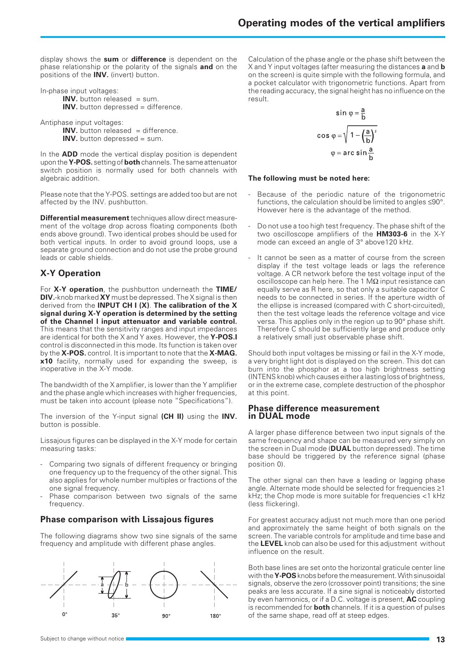display shows the **sum** or **difference** is dependent on the phase relationship or the polarity of the signals **and** on the positions of the **INV.** (invert) button.

In-phase input voltages:

**INV.** button released = sum. **INV.** button depressed = difference.

Antiphase input voltages:

**INV.** button released = difference. **INV.** button depressed = sum.

In the **ADD** mode the vertical display position is dependent upon the **Y-POS.** setting of **both** channels. The same attenuator switch position is normally used for both channels with algebraic addition.

Please note that the Y-POS. settings are added too but are not affected by the INV. pushbutton.

**Differential measurement** techniques allow direct measurement of the voltage drop across floating components (both ends above ground). Two identical probes should be used for both vertical inputs. In order to avoid ground loops, use a separate ground connection and do not use the probe ground leads or cable shields.

## **X-Y Operation**

For **X-Y operation**, the pushbutton underneath the **TIME/ DIV.**-knob marked **XY** must be depressed. The X signal is then derived from the **INPUT CH I (X)**. **The calibration of the X signal during X-Y operation is determined by the setting of the Channel I input attenuator and variable control.** This means that the sensitivity ranges and input impedances are identical for both the X and Y axes. However, the **Y-POS.I** control is disconnected in this mode. Its function is taken over by the **X-POS.** control. It is important to note that the **X-MAG. x10** facility, normally used for expanding the sweep, is inoperative in the X-Y mode.

The bandwidth of the X amplifier, is lower than the Y amplifier and the phase angle which increases with higher frequencies, must be taken into account (please note "Specifications").

The inversion of the Y-input signal **(CH II)** using the **INV.** button is possible.

Lissajous figures can be displayed in the X-Y mode for certain measuring tasks:

- Comparing two signals of different frequency or bringing one frequency up to the frequency of the other signal. This also applies for whole number multiples or fractions of the one signal frequency.
- Phase comparison between two signals of the same frequency.

## **Phase comparison with Lissajous figures**

The following diagrams show two sine signals of the same frequency and amplitude with different phase angles.



Calculation of the phase angle or the phase shift between the X and Y input voltages (after measuring the distances **a** and **b** on the screen) is quite simple with the following formula, and a pocket calculator with trigonometric functions. Apart from the reading accuracy, the signal height has no influence on the result.

$$
\sin \varphi = \frac{a}{b}
$$

$$
\cos \varphi = \sqrt{1 - \left(\frac{a}{b}\right)^2}
$$

$$
\varphi = \arcsin \frac{a}{b}
$$

#### **The following must be noted here:**

- Because of the periodic nature of the trigonometric functions, the calculation should be limited to angles ≤90°. However here is the advantage of the method.
- Do not use a too high test frequency. The phase shift of the two oscilloscope amplifiers of the **HM303-6** in the X-Y mode can exceed an angle of 3° above120 kHz.
- It cannot be seen as a matter of course from the screen display if the test voltage leads or lags the reference voltage. A CR network before the test voltage input of the oscilloscope can help here. The 1 M $\Omega$  input resistance can equally serve as R here, so that only a suitable capacitor C needs to be connected in series. If the aperture width of the ellipse is increased (compared with C short-circuited), then the test voltage leads the reference voltage and vice versa. This applies only in the region up to 90° phase shift. Therefore C should be sufficiently large and produce only a relatively small just observable phase shift.

Should both input voltages be missing or fail in the X-Y mode, a very bright light dot is displayed on the screen. This dot can burn into the phosphor at a too high brightness setting (INTENS knob) which causes either a lasting loss of brightness, or in the extreme case, complete destruction of the phosphor at this point.

#### **Phase difference measurement in DUAL mode**

A larger phase difference between two input signals of the same frequency and shape can be measured very simply on the screen in Dual mode (**DUAL** button depressed). The time base should be triggered by the reference signal (phase position 0).

The other signal can then have a leading or lagging phase angle. Alternate mode should be selected for frequencies ≥1 kHz; the Chop mode is more suitable for frequencies <1 kHz (less flickering).

For greatest accuracy adjust not much more than one period and approximately the same height of both signals on the screen. The variable controls for amplitude and time base and the **LEVEL** knob can also be used for this adjustment without influence on the result.

Both base lines are set onto the horizontal graticule center line with the **Y-POS** knobs before the measurement. With sinusoidal signals, observe the zero (crossover point) transitions; the sine peaks are less accurate. If a sine signal is noticeably distorted by even harmonics, or if a D.C. voltage is present, **AC** coupling is recommended for **both** channels. If it is a question of pulses of the same shape, read off at steep edges.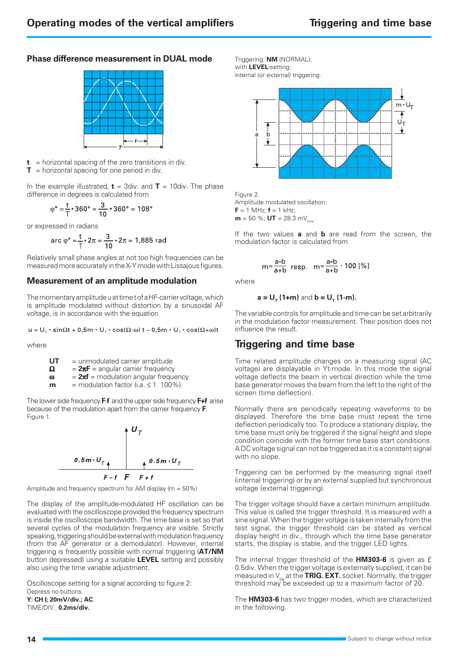#### **Phase difference measurement in DUAL mode**



 $t =$  horizontal spacing of the zero transitions in div.  $T =$  horizontal spacing for one period in div.

In the example illustrated,  $t = 3$ div. and  $T = 10$ div. The phase difference in degrees is calculated from

$$
\varphi^\circ = \frac{t}{T} \cdot 360^\circ = \frac{3}{10} \cdot 360^\circ = 108^\circ
$$

or expressed in radians

arc 
$$
\varphi^{\circ} = \frac{t}{T} \cdot 2\pi = \frac{3}{10} \cdot 2\pi = 1,885 \text{ rad}
$$

Relatively small phase angles at not too high frequencies can be measured more accurately in the X-Y mode with Lissajous figures.

#### **Measurement of an amplitude modulation**

The momentary amplitude u at time t of a HF-carrier voltage, which is amplitude modulated without distortion by a sinusoidal AF voltage, is in accordance with the equation

$$
u = U_{\tau} \cdot \sin \Omega t + 0.5m \cdot U_{\tau} \cdot \cos(\Omega - \omega) t - 0.5m \cdot U_{\tau} \cdot \cos(\Omega + \omega) t
$$

where

| UT | $=$ unmodulated carrier amplitude       |
|----|-----------------------------------------|
| Ω  | $= 2\pi F$ = angular carrier frequency  |
| т  | $-2\pi f$ – modulation angular frequenc |

ω = **2**π**f** = modulation angular frequency  $m =$  modulation factor (i.a.  $\leq 1$  100%).

The lower side frequency **F**-**f** and the upper side frequency **F+f** arise because of the modulation apart from the carrier frequency **F**. Figure 1.



Amplitude and frequency spectrum for AM display (m = 50%)

The display of the amplitude-modulated HF oscillation can be evaluated with the oscilloscope provided the frequency spectrum is inside the oscilloscope bandwidth. The time base is set so that several cycles of the modulation frequency are visible. Strictly speaking, triggering should be external with modulation frequency (from the AF generator or a demodulator). However, internal triggering is frequently possible with normal triggering (**AT/NM** button depressed) using a suitable **LEVEL** setting and possibly also using the time variable adjustment.

Oscilloscope setting for a signal according to figure 2: Depress no buttons. **Y: CH I; 20mV/div.; AC**.

TIME/DIV.: **0.2ms/div.**

Triggering: **NM** (NORMAL); with **LEVEL**-setting; internal (or external) triggering.



Figure 2.

Amplitude modulated oscillation:  $F = 1$  MHz;  $f = 1$  kHz; **m** = 50 %; **UT** = 28.3 mV<sub>ms</sub>.

If the two values **a** and **b** are read from the screen, the modulation factor is calculated from

$$
m = \frac{a-b}{a+b} \text{ resp. } m = \frac{a-b}{a+b} \cdot 100 \, [\%]
$$

where

$$
a = U_{T} (1+m)
$$
 and  $b = U_{T} (1-m)$ .

The variable controls for amplitude and time can be set arbitrarily in the modulation factor measurement. Their position does not influence the result.

## **Triggering and time base**

Time related amplitude changes on a measuring signal (AC voltage) are displayable in Yt-mode. In this mode the signal voltage deflects the beam in vertical direction while the time base generator moves the beam from the left to the right of the screen (time deflection).

Normally there are periodically repeating waveforms to be displayed. Therefore the time base must repeat the time deflection periodically too. To produce a stationary display, the time base must only be triggered if the signal height and slope condition coincide with the former time base start conditions. A DC voltage signal can not be triggered as it is a constant signal with no slope.

Triggering can be performed by the measuring signal itself (internal triggering) or by an external supplied but synchronous voltage (external triggering).

The trigger voltage should have a certain minimum amplitude. This value is called the trigger threshold. It is measured with a sine signal. When the trigger voltage is taken internally from the test signal, the trigger threshold can be stated as vertical display height in div., through which the time base generator starts, the display is stable, and the trigger LED lights.

The internal trigger threshold of the **HM303-6** is given as £ 0.5div. When the trigger voltage is externally supplied, it can be measured in V<sub>pp</sub> at the **TRIG. EXT.** socket. Normally, the trigger<br>threshold may be exceeded up to a maximum factor of 20.

The **HM303-6** has two trigger modes, which are characterized in the following.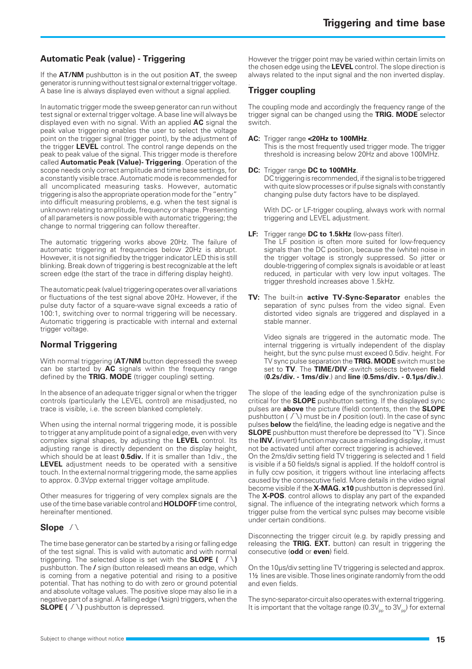## **Automatic Peak (value) - Triggering**

If the **AT/NM** pushbutton is in the out position **AT**, the sweep generator is running without test signal or external trigger voltage. A base line is always displayed even without a signal applied.

In automatic trigger mode the sweep generator can run without test signal or external trigger voltage. A base line will always be displayed even with no signal. With an applied **AC** signal the peak value triggering enables the user to select the voltage point on the trigger signal (trigger point), by the adjustment of the trigger **LEVEL** control. The control range depends on the peak to peak value of the signal. This trigger mode is therefore called **Automatic Peak (Value)- Triggering**. Operation of the scope needs only correct amplitude and time base settings, for a constantly visible trace. Automatic mode is recommended for all uncomplicated measuring tasks. However, automatic triggering is also the appropriate operation mode for the "entry" into difficult measuring problems, e.g. when the test signal is unknown relating to amplitude, frequency or shape. Presenting of all parameters is now possible with automatic triggering; the change to normal triggering can follow thereafter.

The automatic triggering works above 20Hz. The failure of automatic triggering at frequencies below 20Hz is abrupt. However, it is not signified by the trigger indicator LED this is still blinking. Break down of triggering is best recognizable at the left screen edge (the start of the trace in differing display height).

The automatic peak (value) triggering operates over all variations or fluctuations of the test signal above 20Hz. However, if the pulse duty factor of a square-wave signal exceeds a ratio of 100:1, switching over to normal triggering will be necessary. Automatic triggering is practicable with internal and external trigger voltage.

#### **Normal Triggering**

With normal triggering (**AT/NM** button depressed) the sweep can be started by **AC** signals within the frequency range defined by the **TRIG. MODE** (trigger coupling) setting.

In the absence of an adequate trigger signal or when the trigger controls (particularly the LEVEL control) are misadjusted, no trace is visible, i.e. the screen blanked completely.

When using the internal normal triggering mode, it is possible to trigger at any amplitude point of a signal edge, even with very complex signal shapes, by adjusting the **LEVEL** control. Its adjusting range is directly dependent on the display height, which should be at least **0.5div.** If it is smaller than 1div., the **LEVEL** adjustment needs to be operated with a sensitive touch. In the external normal triggering mode, the same applies to approx. 0.3Vpp external trigger voltage amplitude.

Other measures for triggering of very complex signals are the use of the time base variable control and **HOLDOFF** time control, hereinafter mentioned.

#### Slope  $\bigwedge$

The time base generator can be started by a rising or falling edge of the test signal. This is valid with automatic and with normal triggering. The selected slope is set with the **SLOPE** ( $\sqrt{\lambda}$ ) pushbutton. The **/** sign (button released) means an edge, which is coming from a negative potential and rising to a positive potential. That has nothing to do with zero or ground potential and absolute voltage values. The positive slope may also lie in a negative part of a signal. A falling edge ( **\** sign) triggers, when the **SLOPE (**  $\sqrt{ }$  ) pushbutton is depressed.

However the trigger point may be varied within certain limits on the chosen edge using the **LEVEL** control. The slope direction is always related to the input signal and the non inverted display.

#### . **Trigger coupling**

The coupling mode and accordingly the frequency range of the trigger signal can be changed using the **TRIG. MODE** selector switch.

#### **AC:** Trigger range **<20Hz to 100MHz**.

This is the most frequently used trigger mode. The trigger threshold is increasing below 20Hz and above 100MHz.

#### **DC:** Trigger range **DC to 100MHz**.

DC triggering is recommended, if the signal is to be triggered with quite slow processes or if pulse signals with constantly changing pulse duty factors have to be displayed.

With DC- or LF-trigger coupling, always work with normal triggering and LEVEL adjustment.

**LF:** Trigger range **DC to 1.5kHz** (low-pass filter).

The LF position is often more suited for low-frequency signals than the DC position, because the (white) noise in the trigger voltage is strongly suppressed. So jitter or double-triggering of complex signals is avoidable or at least reduced, in particular with very low input voltages. The trigger threshold increases above 1.5kHz.

**TV:** The built-in **active TV-Sync-Separator** enables the separation of sync pulses from the video signal. Even distorted video signals are triggered and displayed in a stable manner.

Video signals are triggered in the automatic mode. The internal triggering is virtually independent of the display height, but the sync pulse must exceed 0.5div. height. For TV sync pulse separation the **TRIG. MODE** switch must be set to **TV**. The **TIME/DIV**.-switch selects between **field** (**0.2s/div. - 1ms/div**.) and **line** (**0.5ms/div. - 0.1µs/div.**).

The slope of the leading edge of the synchronization pulse is critical for the **SLOPE** pushbutton setting. If the displayed sync pulses are **above** the picture (field) contents, then the **SLOPE** pushbutton ( $\sqrt{\ }$ ) must be in **/** position (out). In the case of sync pulses **below** the field/line, the leading edge is negative and the **SLOPE** pushbutton must therefore be depressed (to "**\**"). Since the **INV.** (invert) function may cause a misleading display, it must not be activated until after correct triggering is achieved.

On the 2ms/div setting field TV triggering is selected and 1 field is visible if a 50 fields/s signal is applied. If the holdoff control is in fully ccw position, it triggers without line interlacing affects caused by the consecutive field. More details in the video signal become visible if the **X-MAG. x10** pushbutton is depressed (in). The **X-POS**. control allows to display any part of the expanded signal. The influence of the integrating network which forms a trigger pulse from the vertical sync pulses may become visible under certain conditions.

Disconnecting the trigger circuit (e.g. by rapidly pressing and releasing the **TRIG. EXT.** button) can result in triggering the consecutive (**odd** or **even**) field.

On the 10µs/div setting line TV triggering is selected and approx. 1½ lines are visible. Those lines originate randomly from the odd and even fields.

The sync-separator-circuit also operates with external triggering. It is important that the voltage range  $(0.3V_{\text{p}}$  to  $3V_{\text{p}})$  for external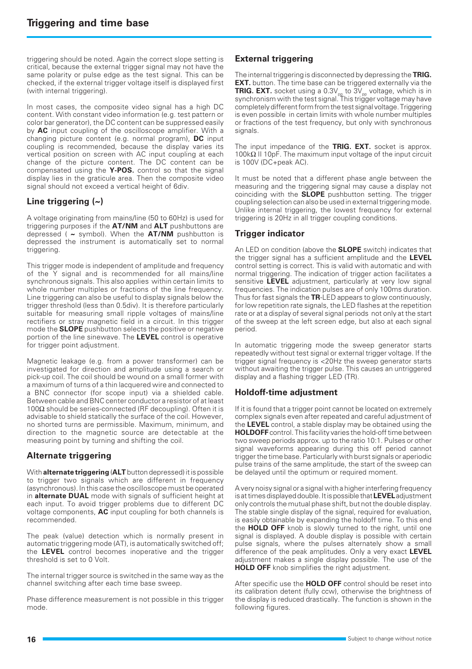triggering should be noted. Again the correct slope setting is critical, because the external trigger signal may not have the same polarity or pulse edge as the test signal. This can be checked, if the external trigger voltage itself is displayed first (with internal triggering).

In most cases, the composite video signal has a high DC content. With constant video information (e.g. test pattern or color bar generator), the DC content can be suppressed easily by **AC** input coupling of the oscilloscope amplifier. With a changing picture content (e.g. normal program), **DC** input coupling is recommended, because the display varies its vertical position on screen with AC input coupling at each change of the picture content. The DC content can be compensated using the **Y-POS.** control so that the signal display lies in the graticule area. Then the composite video signal should not exceed a vertical height of 6div.

## **Line triggering (~)**

A voltage originating from mains/line (50 to 60Hz) is used for triggering purposes if the **AT/NM** and **ALT** pushbuttons are depressed ( **~** symbol). When the **AT/NM** pushbutton is depressed the instrument is automatically set to normal triggering.

This trigger mode is independent of amplitude and frequency of the Y signal and is recommended for all mains/line synchronous signals. This also applies within certain limits to whole number multiples or fractions of the line frequency. Line triggering can also be useful to display signals below the trigger threshold (less than 0.5div). It is therefore particularly suitable for measuring small ripple voltages of mains/line rectifiers or stray magnetic field in a circuit. In this trigger mode the **SLOPE** pushbutton selects the positive or negative portion of the line sinewave. The **LEVEL** control is operative for trigger point adjustment.

Magnetic leakage (e.g. from a power transformer) can be investigated for direction and amplitude using a search or pick-up coil. The coil should be wound on a small former with a maximum of turns of a thin lacquered wire and connected to a BNC connector (for scope input) via a shielded cable. Between cable and BNC center conductor a resistor of at least 100 $Ω$  should be series-connected (RF decoupling). Often it is advisable to shield statically the surface of the coil. However, no shorted turns are permissible. Maximum, minimum, and direction to the magnetic source are detectable at the measuring point by turning and shifting the coil.

## **Alternate triggering**

With **alternate triggering** (**ALT** button depressed) it is possible to trigger two signals which are different in frequency (asynchronous). In this case the oscilloscope must be operated in **alternate DUAL** mode with signals of sufficient height at each input. To avoid trigger problems due to different DC voltage components, **AC** input coupling for both channels is recommended.

The peak (value) detection which is normally present in automatic triggering mode (AT), is automatically switched off; the **LEVEL** control becomes inoperative and the trigger threshold is set to 0 Volt.

The internal trigger source is switched in the same way as the channel switching after each time base sweep.

Phase difference measurement is not possible in this trigger mode.

## **External triggering**

The internal triggering is disconnected by depressing the **TRIG. EXT.** button. The time base can be triggered externally via the **TRIG. EXT.** socket using a 0.3V<sub>pp</sub> to 3V<sub>pp</sub> voltage, which is in<br>synchronism with the test signal. This trigger voltage may have completely different form from the test signal voltage. Triggering is even possible in certain limits with whole number multiples or fractions of the test frequency, but only with synchronous signals.

The input impedance of the **TRIG. EXT.** socket is approx. 100kΩ II 10pF. The maximum input voltage of the input circuit is 100V (DC+peak AC).

It must be noted that a different phase angle between the measuring and the triggering signal may cause a display not coinciding with the **SLOPE** pushbutton setting. The trigger coupling selection can also be used in external triggering mode. Unlike internal triggering, the lowest frequency for external triggering is 20Hz in all trigger coupling conditions.

## **Trigger indicator**

An LED on condition (above the **SLOPE** switch) indicates that the trigger signal has a sufficient amplitude and the **LEVEL** control setting is correct. This is valid with automatic and with normal triggering. The indication of trigger action facilitates a sensitive **LEVEL** adjustment, particularly at very low signal frequencies. The indication pulses are of only 100ms duration. Thus for fast signals the **TR**-LED appears to glow continuously, for low repetition rate signals, the LED flashes at the repetition rate or at a display of several signal periods not only at the start of the sweep at the left screen edge, but also at each signal period.

In automatic triggering mode the sweep generator starts repeatedly without test signal or external trigger voltage. If the trigger signal frequency is <20Hz the sweep generator starts without awaiting the trigger pulse. This causes an untriggered display and a flashing trigger LED (TR).

## **Holdoff-time adjustment**

If it is found that a trigger point cannot be located on extremely complex signals even after repeated and careful adjustment of the **LEVEL** control, a stable display may be obtained using the **HOLDOFF** control. This facility varies the hold-off time between two sweep periods approx. up to the ratio 10:1. Pulses or other signal waveforms appearing during this off period cannot trigger the time base. Particularly with burst signals or aperiodic pulse trains of the same amplitude, the start of the sweep can be delayed until the optimum or required moment.

A very noisy signal or a signal with a higher interfering frequency is at times displayed double. It is possible that **LEVEL** adjustment only controls the mutual phase shift, but not the double display. The stable single display of the signal, required for evaluation, is easily obtainable by expanding the holdoff time. To this end the **HOLD OFF** knob is slowly turned to the right, until one signal is displayed. A double display is possible with certain pulse signals, where the pulses alternately show a small difference of the peak amplitudes. Only a very exact **LEVEL** adjustment makes a single display possible. The use of the **HOLD OFF** knob simplifies the right adjustment.

After specific use the **HOLD OFF** control should be reset into its calibration detent (fully ccw), otherwise the brightness of the display is reduced drastically. The function is shown in the following figures.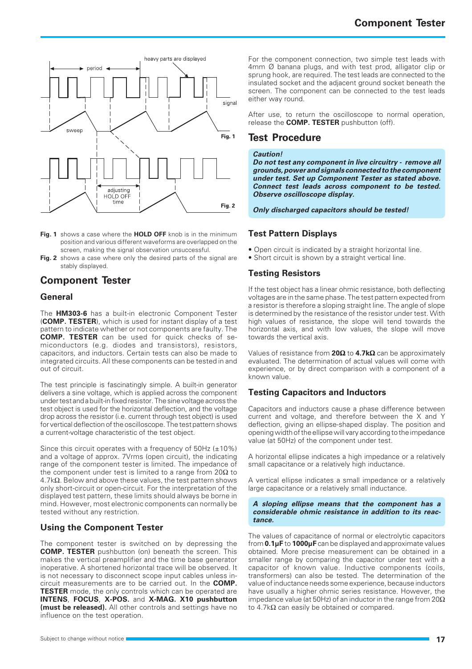

- **Fig. 1** shows a case where the **HOLD OFF** knob is in the minimum position and various different waveforms are overlapped on the screen, making the signal observation unsuccessful.
- Fig. 2 shows a case where only the desired parts of the signal are stably displayed.

## **Component Tester**

#### **General**

The **HM303-6** has a built-in electronic Component Tester (**COMP. TESTER**), which is used for instant display of a test pattern to indicate whether or not components are faulty. The **COMP. TESTER** can be used for quick checks of semiconductors (e.g. diodes and transistors), resistors, capacitors, and inductors. Certain tests can also be made to integrated circuits. All these components can be tested in and out of circuit.

The test principle is fascinatingly simple. A built-in generator delivers a sine voltage, which is applied across the component under test and a built-in fixed resistor. The sine voltage across the test object is used for the horizontal deflection, and the voltage drop across the resistor (i.e. current through test object) is used for vertical deflection of the oscilloscope. The test pattern shows a current-voltage characteristic of the test object.

Since this circuit operates with a frequency of 50Hz (±10%) and a voltage of approx. 7Vrms (open circuit), the indicating range of the component tester is limited. The impedance of the component under test is limited to a range from  $20\Omega$  to  $4.7\mathrm{k}\Omega$ . Below and above these values, the test pattern shows only short-circuit or open-circuit. For the interpretation of the displayed test pattern, these limits should always be borne in mind. However, most electronic components can normally be tested without any restriction.

#### **Using the Component Tester**

The component tester is switched on by depressing the **COMP. TESTER** pushbutton (on) beneath the screen. This makes the vertical preamplifier and the time base generator inoperative. A shortened horizontal trace will be observed. It is not necessary to disconnect scope input cables unless incircuit measurements are to be carried out. In the **COMP. TESTER** mode, the only controls which can be operated are **INTENS**, **FOCUS**, **X-POS.** and **X-MAG. X10 pushbutton (must be released).** All other controls and settings have no influence on the test operation.

For the component connection, two simple test leads with 4mm Ø banana plugs, and with test prod, alligator clip or sprung hook, are required. The test leads are connected to the insulated socket and the adjacent ground socket beneath the screen. The component can be connected to the test leads either way round.

After use, to return the oscilloscope to normal operation, release the **COMP. TESTER** pushbutton (off).

## **Test Procedure**

#### **Caution!**

**Do not test any component in live circuitry - remove all grounds, power and signals connected to the component under test. Set up Component Tester as stated above. Connect test leads across component to be tested. Observe oscilloscope display.**

#### **Only discharged capacitors should be tested!**

## **Test Pattern Displays**

- Open circuit is indicated by a straight horizontal line.
- Short circuit is shown by a straight vertical line.

## **Testing Resistors**

If the test object has a linear ohmic resistance, both deflecting voltages are in the same phase. The test pattern expected from a resistor is therefore a sloping straight line. The angle of slope is determined by the resistance of the resistor under test. With high values of resistance, the slope will tend towards the horizontal axis, and with low values, the slope will move towards the vertical axis.

Values of resistance from **20**Ω to **4.7k**Ω can be approximately evaluated. The determination of actual values will come with experience, or by direct comparison with a component of a known value.

## **Testing Capacitors and Inductors**

Capacitors and inductors cause a phase difference between current and voltage, and therefore between the X and Y deflection, giving an ellipse-shaped display. The position and opening width of the ellipse will vary according to the impedance value (at 50Hz) of the component under test.

A horizontal ellipse indicates a high impedance or a relatively small capacitance or a relatively high inductance.

A vertical ellipse indicates a small impedance or a relatively large capacitance or a relatively small inductance.

#### **A sloping ellipse means that the component has a considerable ohmic resistance in addition to its reactance.**

The values of capacitance of normal or electrolytic capacitors from **0.1µF** to **1000µF** can be displayed and approximate values obtained. More precise measurement can be obtained in a smaller range by comparing the capacitor under test with a capacitor of known value. Inductive components (coils, transformers) can also be tested. The determination of the value of inductance needs some experience, because inductors have usually a higher ohmic series resistance. However, the impedance value (at 50Hz) of an inductor in the range from  $20\Omega$ to 4.7k $\Omega$  can easily be obtained or compared.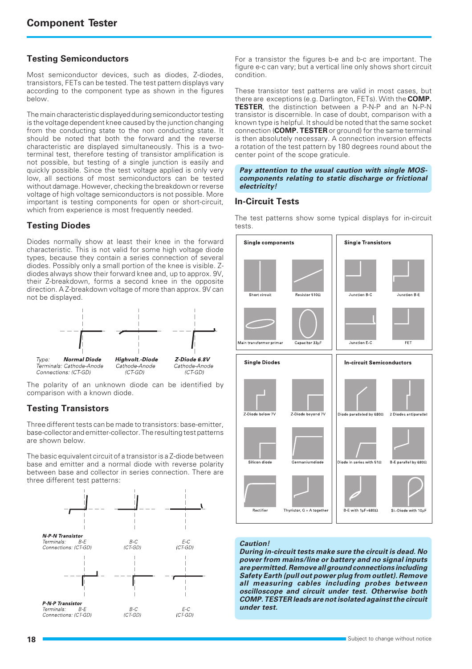## **Testing Semiconductors**

Most semiconductor devices, such as diodes, Z-diodes, transistors, FETs can be tested. The test pattern displays vary according to the component type as shown in the figures below.

The main characteristic displayed during semiconductor testing is the voltage dependent knee caused by the junction changing from the conducting state to the non conducting state. It should be noted that both the forward and the reverse characteristic are displayed simultaneously. This is a twoterminal test, therefore testing of transistor amplification is not possible, but testing of a single junction is easily and quickly possible. Since the test voltage applied is only very low, all sections of most semiconductors can be tested without damage. However, checking the breakdown or reverse voltage of high voltage semiconductors is not possible. More important is testing components for open or short-circuit, which from experience is most frequently needed.

## **Testing Diodes**

Diodes normally show at least their knee in the forward characteristic. This is not valid for some high voltage diode types, because they contain a series connection of several diodes. Possibly only a small portion of the knee is visible. Zdiodes always show their forward knee and, up to approx. 9V, their Z-breakdown, forms a second knee in the opposite direction. A Z-breakdown voltage of more than approx. 9V can not be displayed.



The polarity of an unknown diode can be identified by comparison with a known diode.

## **Testing Transistors**

Three different tests can be made to transistors: base-emitter, base-collector and emitter-collector. The resulting test patterns are shown below.

The basic equivalent circuit of a transistor is a Z-diode between base and emitter and a normal diode with reverse polarity between base and collector in series connection. There are three different test patterns:



For a transistor the figures b-e and b-c are important. The figure e-c can vary; but a vertical line only shows short circuit condition.

These transistor test patterns are valid in most cases, but there are exceptions (e.g. Darlington, FETs). With the **COMP. TESTER**, the distinction between a P-N-P and an N-P-N transistor is discernible. In case of doubt, comparison with a known type is helpful. It should be noted that the same socket connection (**COMP. TESTER** or ground) for the same terminal is then absolutely necessary. A connection inversion effects a rotation of the test pattern by 180 degrees round about the center point of the scope graticule.

#### **Pay attention to the usual caution with single MOScomponents relating to static discharge or frictional electricity!**

#### **In-Circuit Tests**

The test patterns show some typical displays for in-circuit tests.



#### **Caution!**

**During in-circuit tests make sure the circuit is dead. No power from mains/line or battery and no signal inputs are permitted. Remove all ground connections including Safety Earth (pull out power plug from outlet). Remove all measuring cables including probes between oscilloscope and circuit under test. Otherwise both COMP. TESTER leads are not isolated against the circuit under test.**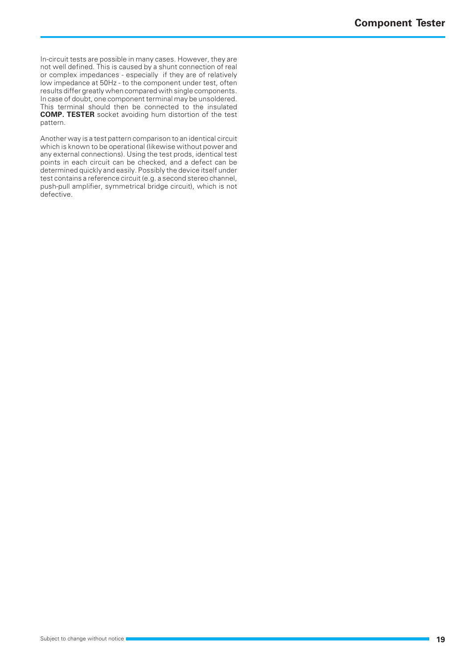In-circuit tests are possible in many cases. However, they are not well defined. This is caused by a shunt connection of real or complex impedances - especially if they are of relatively low impedance at 50Hz - to the component under test, often results differ greatly when compared with single components. In case of doubt, one component terminal may be unsoldered. This terminal should then be connected to the insulated **COMP. TESTER** socket avoiding hum distortion of the test pattern.

Another way is a test pattern comparison to an identical circuit which is known to be operational (likewise without power and any external connections). Using the test prods, identical test points in each circuit can be checked, and a defect can be determined quickly and easily. Possibly the device itself under test contains a reference circuit (e.g. a second stereo channel, push-pull amplifier, symmetrical bridge circuit), which is not defective.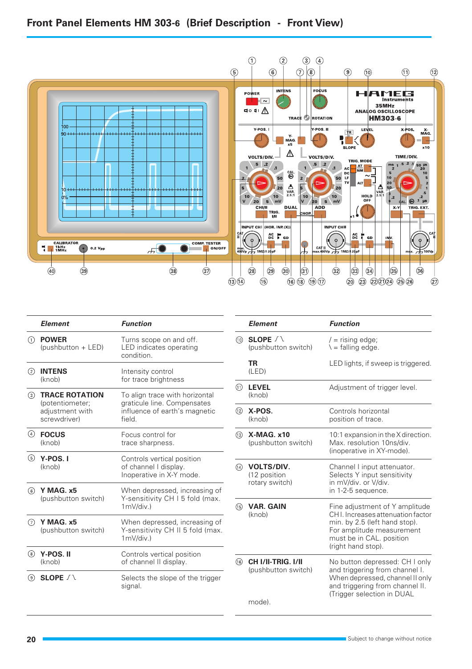## **Front Panel Elements HM 303-6 (Brief Description - Front View)**



|               | <b>Element</b>                                     | <b>Function</b>                                                                   |                            | <b>Element</b>                           | <b>Function</b>                                                                                                                                                                     |
|---------------|----------------------------------------------------|-----------------------------------------------------------------------------------|----------------------------|------------------------------------------|-------------------------------------------------------------------------------------------------------------------------------------------------------------------------------------|
| (1)           | <b>POWER</b><br>(pushbutton + LED)                 | Turns scope on and off.<br>LED indicates operating<br>condition.                  | (10)                       | SLOPE $\bigwedge$<br>(pushbutton switch) | $/$ = rising edge;<br>$\lambda$ = falling edge.                                                                                                                                     |
| $\circled{2}$ | <b>INTENS</b><br>(knob)                            | Intensity control<br>for trace brightness                                         |                            | <b>TR</b><br>(LED)                       | LED lights, if sweep is triggered.                                                                                                                                                  |
| $\circled{3}$ | <b>TRACE ROTATION</b>                              | To align trace with horizontal                                                    |                            | <b>LEVEL</b><br>(knob)                   | Adjustment of trigger level.                                                                                                                                                        |
|               | (potentiometer;<br>adjustment with<br>screwdriver) | graticule line. Compensates<br>influence of earth's magnetic<br>field.            | (12)                       | X-POS.<br>(knob)                         | Controls horizontal<br>position of trace.                                                                                                                                           |
| ④             | <b>FOCUS</b><br>(knob)                             | Focus control for<br>trace sharpness.                                             | (13)                       | $X-MAG. x10$<br>(pushbutton switch)      | 10:1 expansion in the X direction.<br>Max. resolution 10ns/div.                                                                                                                     |
| ⊕             | Y-POS.I<br>(knob)                                  | Controls vertical position<br>of channel I display.<br>Inoperative in X-Y mode.   | $\sqrt{14}$                | <b>VOLTS/DIV.</b><br>(12 position        | (inoperative in XY-mode).<br>Channel I input attenuator.<br>Selects Y input sensitivity                                                                                             |
| 6             | Y MAG. x5                                          | When depressed, increasing of<br>Y-sensitivity CH I 5 fold (max.                  |                            | rotary switch)                           | in mV/div. or V/div.<br>in 1-2-5 sequence.                                                                                                                                          |
|               | (pushbutton switch)                                | $1mV$ /div.)                                                                      | (15)                       | <b>VAR. GAIN</b><br>(knob)               | Fine adjustment of Y amplitude<br>CHI. Increases attenuation factor<br>min. by 2.5 (left hand stop).<br>For amplitude measurement<br>must be in CAL. position<br>(right hand stop). |
| $\odot$       | Y MAG. x5<br>(pushbutton switch)                   | When depressed, increasing of<br>Y-sensitivity CH II 5 fold (max.<br>$1mV$ /div.) |                            |                                          |                                                                                                                                                                                     |
| (8)           | Y-POS. II<br>(knob)                                | Controls vertical position<br>of channel II display.                              | CH I/II-TRIG. I/II<br>(16) | No button depressed: CH I only           |                                                                                                                                                                                     |
| (9)           | SLOPE $\wedge$                                     | Selects the slope of the trigger<br>signal.                                       |                            | (pushbutton switch)<br>mode).            | and triggering from channel I.<br>When depressed, channel II only<br>and triggering from channel II.<br>(Trigger selection in DUAL                                                  |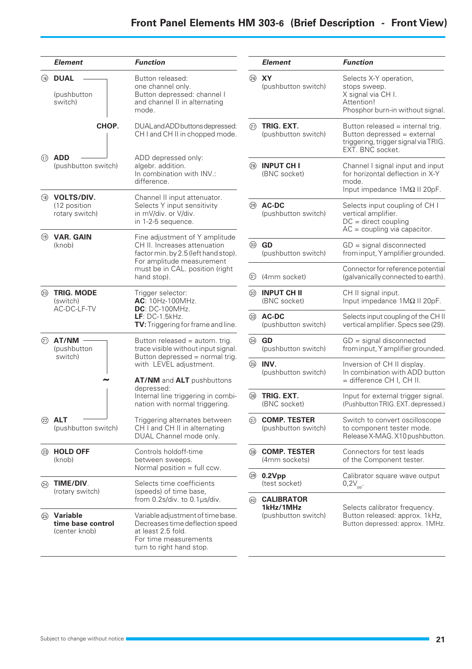|      | <b>Element</b>                                      | <b>Function</b>                                                                                                                                                                       |
|------|-----------------------------------------------------|---------------------------------------------------------------------------------------------------------------------------------------------------------------------------------------|
| ⊕    | <b>DUAL</b><br>(pushbutton<br>switch)               | Button released:<br>one channel only.<br>Button depressed: channel I<br>and channel II in alternating<br>mode.                                                                        |
|      | CHOP.                                               | DUAL and ADD buttons depressed:<br>CH I and CH II in chopped mode.                                                                                                                    |
| (17) | <b>ADD</b><br>(pushbutton switch)                   | ADD depressed only:<br>algebr. addition.<br>In combination with INV.:<br>difference.                                                                                                  |
| (18) | <b>VOLTS/DIV.</b><br>(12 position<br>rotary switch) | Channel II input attenuator.<br>Selects Y input sensitivity<br>in mV/div. or V/div.<br>in 1-2-5 sequence.                                                                             |
| (19) | <b>VAR. GAIN</b><br>(knob)                          | Fine adjustment of Y amplitude<br>CH II. Increases attenuation<br>factor min. by 2.5 (left hand stop).<br>For amplitude measurement<br>must be in CAL. position (right<br>hand stop). |
| ⑳    | <b>TRIG. MODE</b><br>(switch)<br>AC-DC-LF-TV        | Trigger selector:<br>AC: 10Hz-100MHz.<br><b>DC</b> : DC-100MHz.<br>LF: $DC-1.5kHz$ .<br>TV: Triggering for frame and line.                                                            |
| ②    | AT/NM<br>(pushbutton<br>switch)                     | Button released = autom. trig.<br>trace visible without input signal.<br>Button depressed = normal trig.<br>with LEVEL adjustment.                                                    |
|      |                                                     | AT/NM and ALT pushbuttons<br>depressed:<br>Internal line triggering in combi-<br>nation with normal triggering.                                                                       |
| (22) | <b>ALT</b><br>(pushbutton switch)                   | Triggering alternates between<br>CH I and CH II in alternating<br>DUAL Channel mode only.                                                                                             |
| ②    | <b>HOLD OFF</b><br>(knob)                           | Controls holdoff-time<br>between sweeps.<br>Normal position = full ccw.                                                                                                               |
| ➁    | TIME/DIV.<br>(rotary switch)                        | Selects time coefficients<br>(speeds) of time base,<br>from $0.2$ s/div. to $0.1$ µs/div.                                                                                             |
|      | Variable<br>time base control<br>(center knob)      | Variable adjustment of time base.<br>Decreases time deflection speed<br>at least 2.5 fold.<br>For time measurements<br>turn to right hand stop.                                       |

|      | Element                                               | Function                                                                                                                     |
|------|-------------------------------------------------------|------------------------------------------------------------------------------------------------------------------------------|
| ©    | XY<br>(pushbutton switch)                             | Selects X-Y operation,<br>stops sweep.<br>X signal via CH I.<br>Attention!<br>Phosphor burn-in without signal.               |
| ℗    | TRIG. EXT.<br>(pushbutton switch)                     | Button released = internal trig.<br>Button depressed = external<br>triggering, trigger signal via TRIG.<br>EXT. BNC socket.  |
| (28) | <b>INPUT CH I</b><br>(BNC socket)                     | Channel I signal input and input<br>for horizontal deflection in X-Y<br>mode.<br>Input impedance $1 \text{M}\Omega$ Il 20pF. |
| ②    | <b>AC-DC</b><br>(pushbutton switch)                   | Selects input coupling of CH I<br>vertical amplifier.<br>$DC =$ direct coupling<br>$AC = coupling via capacitor.$            |
| ☜    | GD<br>(pushbutton switch)                             | $GD =$ signal disconnected<br>from input, Y amplifier grounded.                                                              |
| ☜    | (4mm socket)                                          | Connector for reference potential<br>(galvanically connected to earth).                                                      |
| ⊗    | <b>INPUT CH II</b><br>(BNC socket)                    | CH II signal input.<br>Input impedance $1 \text{M}\Omega$ Il 20pF.                                                           |
| ⊗    | <b>AC-DC</b><br>(pushbutton switch)                   | Selects input coupling of the CH II<br>vertical amplifier. Specs see (29).                                                   |
|      | GD<br>(pushbutton switch)                             | $GD =$ signal disconnected<br>from input, Y amplifier grounded.                                                              |
| ⊛    | INV.<br>(pushbutton switch)                           | Inversion of CH II display.<br>In combination with ADD button<br>= difference CH I, CH II.                                   |
| ⊛    | TRIG. EXT.<br>(BNC socket)                            | Input for external trigger signal.<br>(Pushbutton TRIG. EXT. depressed.)                                                     |
| ⊗    | <b>COMP. TESTER</b><br>(pushbutton switch)            | Switch to convert oscilloscope<br>to component tester mode.<br>Release X-MAG. X10 pushbutton.                                |
| ⊛    | <b>COMP. TESTER</b><br>(4mm sockets)                  | Connectors for test leads<br>of the Component tester.                                                                        |
| ☜    | 0.2Vpp<br>(test socket)                               | Calibrator square wave output<br>$0,2V_{\text{pp}}$                                                                          |
|      | <b>CALIBRATOR</b><br>1kHz/1MHz<br>(pushbutton switch) | Selects calibrator frequency.<br>Button released: approx. 1kHz,<br>Button depressed: approx. 1MHz.                           |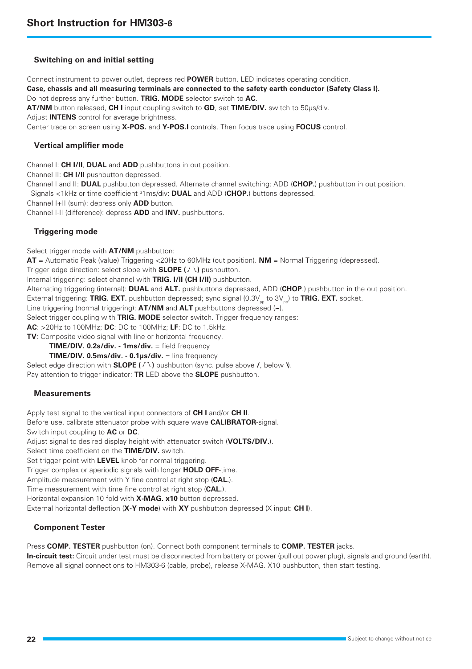#### **Switching on and initial setting**

Connect instrument to power outlet, depress red **POWER** button. LED indicates operating condition. **Case, chassis and all measuring terminals are connected to the safety earth conductor (Safety Class I).** Do not depress any further button. **TRIG. MODE** selector switch to **AC**. **AT/NM** button released, **CH I** input coupling switch to **GD**, set **TIME/DIV.** switch to 50µs/div. Adjust **INTENS** control for average brightness. Center trace on screen using **X-POS.** and **Y-POS.I** controls. Then focus trace using **FOCUS** control.

#### **Vertical amplifier mode**

Channel I: **CH I/II**, **DUAL** and **ADD** pushbuttons in out position. Channel II: **CH I/II** pushbutton depressed. Channel I and II: **DUAL** pushbutton depressed. Alternate channel switching: ADD (**CHOP.**) pushbutton in out position. Signals <1kHz or time coefficient ³1ms/div: **DUAL** and ADD (**CHOP.**) buttons depressed. Channel I+II (sum): depress only **ADD** button. Channel I-II (difference): depress **ADD** and **INV.** pushbuttons.

#### **Triggering mode**

Select trigger mode with **AT/NM** pushbutton:

**AT** = Automatic Peak (value) Triggering <20Hz to 60MHz (out position). **NM** = Normal Triggering (depressed).

Trigger edge direction: select slope with **SLOPE ( )** pushbutton.

Internal triggering: select channel with **TRIG. I/II (CH I/II)** pushbutton.

Alternating triggering (internal): **DUAL** and **ALT.** pushbuttons depressed, ADD (**CHOP**.) pushbutton in the out position.

External triggering: TRIG. EXT. pushbutton depressed; sync signal (0.3V<sub>pp</sub> to 3V<sub>pp</sub>) to TRIG. EXT. socket.

Line triggering (normal triggering): **AT/NM** and **ALT** pushbuttons depressed (**~**).

Select trigger coupling with **TRIG. MODE** selector switch. Trigger frequency ranges:

**AC**: >20Hz to 100MHz; **DC**: DC to 100MHz; **LF**: DC to 1.5kHz.

**TV**: Composite video signal with line or horizontal frequency.

**TIME/DIV. 0.2s/div. - 1ms/div.** = field frequency

#### **TIME/DIV. 0.5ms/div. - 0.1µs/div.** = line frequency

Select edge direction with **SLOPE**  $(1 \vee)$  pushbutton (sync. pulse above  $\lambda$ , below  $\nu$ ). Pay attention to trigger indicator: **TR** LED above the **SLOPE** pushbutton.

#### **Measurements**

Apply test signal to the vertical input connectors of **CH I** and/or **CH II**.

Before use, calibrate attenuator probe with square wave **CALIBRATOR**-signal.

Switch input coupling to **AC** or **DC**.

Adjust signal to desired display height with attenuator switch (**VOLTS/DIV.**).

Select time coefficient on the **TIME/DIV.** switch.

Set trigger point with **LEVEL** knob for normal triggering.

Trigger complex or aperiodic signals with longer **HOLD OFF**-time.

Amplitude measurement with Y fine control at right stop (**CAL.**).

Time measurement with time fine control at right stop (**CAL.**).

Horizontal expansion 10 fold with **X-MAG. x10** button depressed.

External horizontal deflection (**X-Y mode**) with **XY** pushbutton depressed (X input: **CH I**).

#### **Component Tester**

Press **COMP. TESTER** pushbutton (on). Connect both component terminals to **COMP. TESTER** jacks.

**In-circuit test:** Circuit under test must be disconnected from battery or power (pull out power plug), signals and ground (earth). Remove all signal connections to HM303-6 (cable, probe), release X-MAG. X10 pushbutton, then start testing.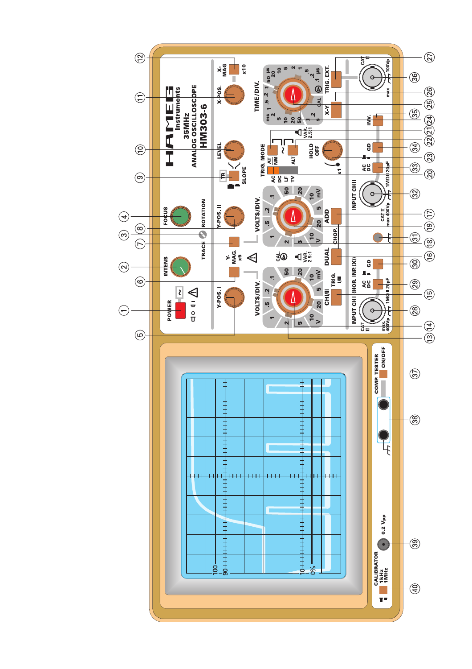